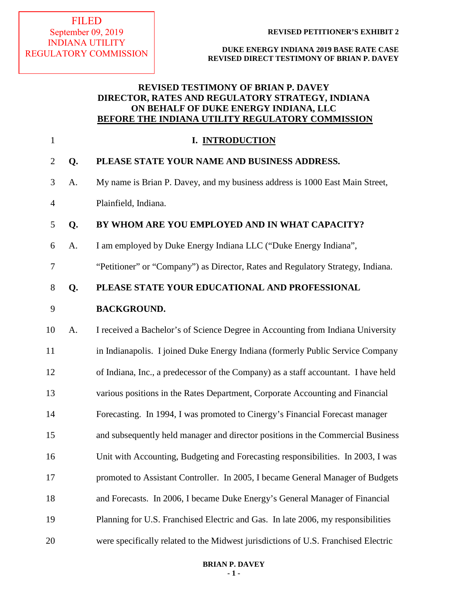## **REVISED TESTIMONY OF BRIAN P. DAVEY DIRECTOR, RATES AND REGULATORY STRATEGY, INDIANA ON BEHALF OF DUKE ENERGY INDIANA, LLC BEFORE THE INDIANA UTILITY REGULATORY COMMISSION**

| $\mathbf{1}$   |    | I. INTRODUCTION                                                                    |
|----------------|----|------------------------------------------------------------------------------------|
| $\overline{2}$ | Q. | PLEASE STATE YOUR NAME AND BUSINESS ADDRESS.                                       |
| 3              | A. | My name is Brian P. Davey, and my business address is 1000 East Main Street,       |
| $\overline{4}$ |    | Plainfield, Indiana.                                                               |
| 5              | Q. | BY WHOM ARE YOU EMPLOYED AND IN WHAT CAPACITY?                                     |
| 6              | A. | I am employed by Duke Energy Indiana LLC ("Duke Energy Indiana",                   |
| 7              |    | "Petitioner" or "Company") as Director, Rates and Regulatory Strategy, Indiana.    |
| $8\,$          | Q. | PLEASE STATE YOUR EDUCATIONAL AND PROFESSIONAL                                     |
| 9              |    | <b>BACKGROUND.</b>                                                                 |
| 10             | A. | I received a Bachelor's of Science Degree in Accounting from Indiana University    |
| 11             |    | in Indianapolis. I joined Duke Energy Indiana (formerly Public Service Company     |
| 12             |    | of Indiana, Inc., a predecessor of the Company) as a staff accountant. I have held |
| 13             |    | various positions in the Rates Department, Corporate Accounting and Financial      |
| 14             |    | Forecasting. In 1994, I was promoted to Cinergy's Financial Forecast manager       |
| 15             |    | and subsequently held manager and director positions in the Commercial Business    |
| 16             |    | Unit with Accounting, Budgeting and Forecasting responsibilities. In 2003, I was   |
| 17             |    | promoted to Assistant Controller. In 2005, I became General Manager of Budgets     |
| 18             |    | and Forecasts. In 2006, I became Duke Energy's General Manager of Financial        |
| 19             |    | Planning for U.S. Franchised Electric and Gas. In late 2006, my responsibilities   |
| 20             |    | were specifically related to the Midwest jurisdictions of U.S. Franchised Electric |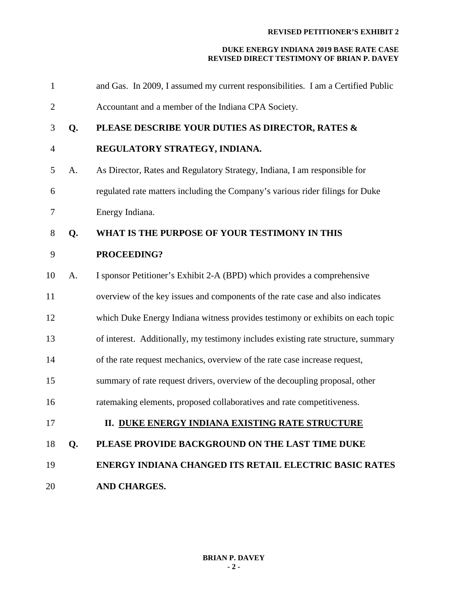| $\mathbf{1}$   |    | and Gas. In 2009, I assumed my current responsibilities. I am a Certified Public  |
|----------------|----|-----------------------------------------------------------------------------------|
| $\overline{c}$ |    | Accountant and a member of the Indiana CPA Society.                               |
| 3              | Q. | PLEASE DESCRIBE YOUR DUTIES AS DIRECTOR, RATES &                                  |
| $\overline{4}$ |    | REGULATORY STRATEGY, INDIANA.                                                     |
| 5              | A. | As Director, Rates and Regulatory Strategy, Indiana, I am responsible for         |
| 6              |    | regulated rate matters including the Company's various rider filings for Duke     |
| 7              |    | Energy Indiana.                                                                   |
| 8              | Q. | WHAT IS THE PURPOSE OF YOUR TESTIMONY IN THIS                                     |
| 9              |    | PROCEEDING?                                                                       |
| 10             | A. | I sponsor Petitioner's Exhibit 2-A (BPD) which provides a comprehensive           |
| 11             |    | overview of the key issues and components of the rate case and also indicates     |
| 12             |    | which Duke Energy Indiana witness provides testimony or exhibits on each topic    |
| 13             |    | of interest. Additionally, my testimony includes existing rate structure, summary |
| 14             |    | of the rate request mechanics, overview of the rate case increase request,        |
| 15             |    | summary of rate request drivers, overview of the decoupling proposal, other       |
| 16             |    | ratemaking elements, proposed collaboratives and rate competitiveness.            |
| 17             |    | II. DUKE ENERGY INDIANA EXISTING RATE STRUCTURE                                   |
| 18             | Q. | PLEASE PROVIDE BACKGROUND ON THE LAST TIME DUKE                                   |
| 19             |    | <b>ENERGY INDIANA CHANGED ITS RETAIL ELECTRIC BASIC RATES</b>                     |
| 20             |    | AND CHARGES.                                                                      |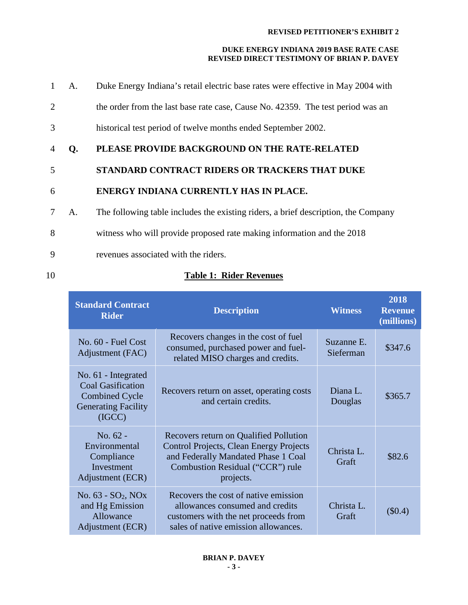#### **DUKE ENERGY INDIANA 2019 BASE RATE CASE REVISED DIRECT TESTIMONY OF BRIAN P. DAVEY**

| 1              | A. | Duke Energy Indiana's retail electric base rates were effective in May 2004 with   |
|----------------|----|------------------------------------------------------------------------------------|
| $\overline{2}$ |    | the order from the last base rate case, Cause No. 42359. The test period was an    |
| 3              |    | historical test period of twelve months ended September 2002.                      |
| $\overline{4}$ | Q. | PLEASE PROVIDE BACKGROUND ON THE RATE-RELATED                                      |
| 5              |    | <b>STANDARD CONTRACT RIDERS OR TRACKERS THAT DUKE</b>                              |
| 6              |    | ENERGY INDIANA CURRENTLY HAS IN PLACE.                                             |
| 7              | А. | The following table includes the existing riders, a brief description, the Company |
| 8              |    | witness who will provide proposed rate making information and the 2018             |
| 9              |    | revenues associated with the riders.                                               |
|                |    |                                                                                    |

## 10 **Table 1: Rider Revenues**

| <b>Standard Contract</b><br><b>Rider</b>                                                                         | <b>Description</b>                                                                                                                                                               | <b>Witness</b>          | 2018<br><b>Revenue</b><br>(millions) |
|------------------------------------------------------------------------------------------------------------------|----------------------------------------------------------------------------------------------------------------------------------------------------------------------------------|-------------------------|--------------------------------------|
| No. 60 - Fuel Cost<br>Adjustment (FAC)                                                                           | Recovers changes in the cost of fuel<br>consumed, purchased power and fuel-<br>related MISO charges and credits.                                                                 | Suzanne E.<br>Sieferman | \$347.6                              |
| No. 61 - Integrated<br><b>Coal Gasification</b><br><b>Combined Cycle</b><br><b>Generating Facility</b><br>(IGCC) | Recovers return on asset, operating costs<br>and certain credits.                                                                                                                | Diana L.<br>Douglas     | \$365.7                              |
| No. 62 -<br>Environmental<br>Compliance<br>Investment<br>Adjustment (ECR)                                        | Recovers return on Qualified Pollution<br><b>Control Projects, Clean Energy Projects</b><br>and Federally Mandated Phase 1 Coal<br>Combustion Residual ("CCR") rule<br>projects. | Christa L.<br>Graft     | \$82.6                               |
| No. 63 - SO <sub>2</sub> , NO <sub>x</sub><br>and Hg Emission<br>Allowance<br>Adjustment (ECR)                   | Recovers the cost of native emission<br>allowances consumed and credits<br>customers with the net proceeds from<br>sales of native emission allowances.                          | Christa L.<br>Graft     | $(\$0.4)$                            |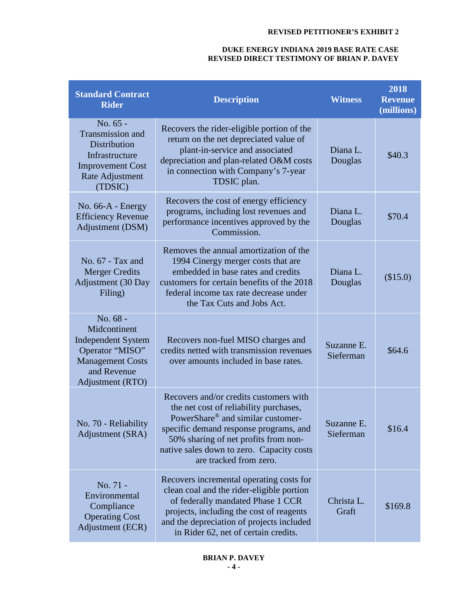| <b>Standard Contract</b><br><b>Rider</b>                                                                                               | <b>Description</b>                                                                                                                                                                                                                                                                         | <b>Witness</b>          | 2018<br><b>Revenue</b><br>(millions) |
|----------------------------------------------------------------------------------------------------------------------------------------|--------------------------------------------------------------------------------------------------------------------------------------------------------------------------------------------------------------------------------------------------------------------------------------------|-------------------------|--------------------------------------|
| No. 65 -<br>Transmission and<br><b>Distribution</b><br>Infrastructure<br><b>Improvement Cost</b><br>Rate Adjustment<br>(TDSIC)         | Recovers the rider-eligible portion of the<br>return on the net depreciated value of<br>plant-in-service and associated<br>depreciation and plan-related O&M costs<br>in connection with Company's 7-year<br>TDSIC plan.                                                                   | Diana L.<br>Douglas     | \$40.3                               |
| No. $66-A$ - Energy<br><b>Efficiency Revenue</b><br>Adjustment (DSM)                                                                   | Recovers the cost of energy efficiency<br>programs, including lost revenues and<br>performance incentives approved by the<br>Commission.                                                                                                                                                   | Diana L.<br>Douglas     | \$70.4                               |
| No. 67 - Tax and<br><b>Merger Credits</b><br><b>Adjustment</b> (30 Day<br>Filing)                                                      | Removes the annual amortization of the<br>1994 Cinergy merger costs that are<br>embedded in base rates and credits<br>customers for certain benefits of the 2018<br>federal income tax rate decrease under<br>the Tax Cuts and Jobs Act.                                                   | Diana L.<br>Douglas     | (\$15.0)                             |
| No. 68 -<br>Midcontinent<br><b>Independent System</b><br>Operator "MISO"<br><b>Management Costs</b><br>and Revenue<br>Adjustment (RTO) | Recovers non-fuel MISO charges and<br>credits netted with transmission revenues<br>over amounts included in base rates.                                                                                                                                                                    | Suzanne E.<br>Sieferman | \$64.6                               |
| No. 70 - Reliability<br>Adjustment (SRA)                                                                                               | Recovers and/or credits customers with<br>the net cost of reliability purchases,<br>PowerShare <sup>®</sup> and similar customer-<br>specific demand response programs, and<br>50% sharing of net profits from non-<br>native sales down to zero. Capacity costs<br>are tracked from zero. | Suzanne E<br>Sieferman  | \$16.4                               |
| No. 71 -<br>Environmental<br>Compliance<br><b>Operating Cost</b><br>Adjustment (ECR)                                                   | Recovers incremental operating costs for<br>clean coal and the rider-eligible portion<br>of federally mandated Phase 1 CCR<br>projects, including the cost of reagents<br>and the depreciation of projects included<br>in Rider 62, net of certain credits.                                | Christa L.<br>Graft     | \$169.8                              |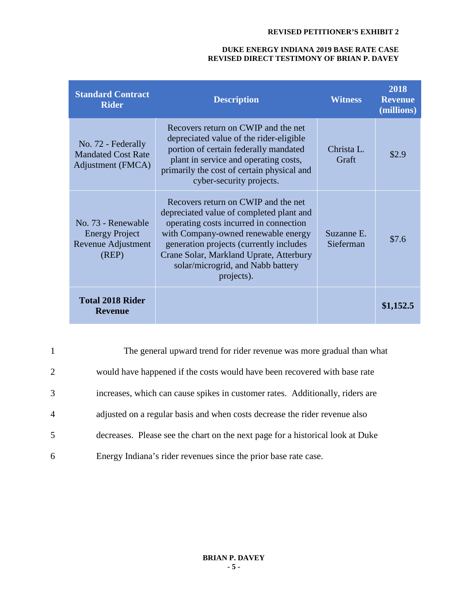| <b>Standard Contract</b><br><b>Rider</b>                                   | <b>Description</b>                                                                                                                                                                                                                                                                                        | <b>Witness</b>          | 2018<br><b>Revenue</b><br>(millions) |
|----------------------------------------------------------------------------|-----------------------------------------------------------------------------------------------------------------------------------------------------------------------------------------------------------------------------------------------------------------------------------------------------------|-------------------------|--------------------------------------|
| No. 72 - Federally<br><b>Mandated Cost Rate</b><br>Adjustment (FMCA)       | Recovers return on CWIP and the net<br>depreciated value of the rider-eligible<br>portion of certain federally mandated<br>plant in service and operating costs,<br>primarily the cost of certain physical and<br>cyber-security projects.                                                                | Christa L.<br>Graft     | \$2.9                                |
| No. 73 - Renewable<br><b>Energy Project</b><br>Revenue Adjustment<br>(REP) | Recovers return on CWIP and the net<br>depreciated value of completed plant and<br>operating costs incurred in connection<br>with Company-owned renewable energy<br>generation projects (currently includes<br>Crane Solar, Markland Uprate, Atterbury<br>solar/microgrid, and Nabb battery<br>projects). | Suzanne E.<br>Sieferman | \$7.6                                |
| <b>Total 2018 Rider</b><br><b>Revenue</b>                                  |                                                                                                                                                                                                                                                                                                           |                         | \$1,152.5                            |

| $\mathbf{1}$   | The general upward trend for rider revenue was more gradual than what          |
|----------------|--------------------------------------------------------------------------------|
| 2              | would have happened if the costs would have been recovered with base rate      |
| 3              | increases, which can cause spikes in customer rates. Additionally, riders are  |
| $\overline{4}$ | adjusted on a regular basis and when costs decrease the rider revenue also     |
| 5              | decreases. Please see the chart on the next page for a historical look at Duke |
| 6              | Energy Indiana's rider revenues since the prior base rate case.                |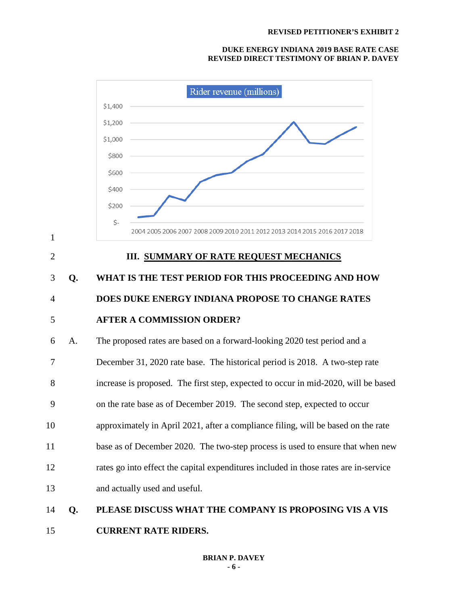

15 **CURRENT RATE RIDERS.**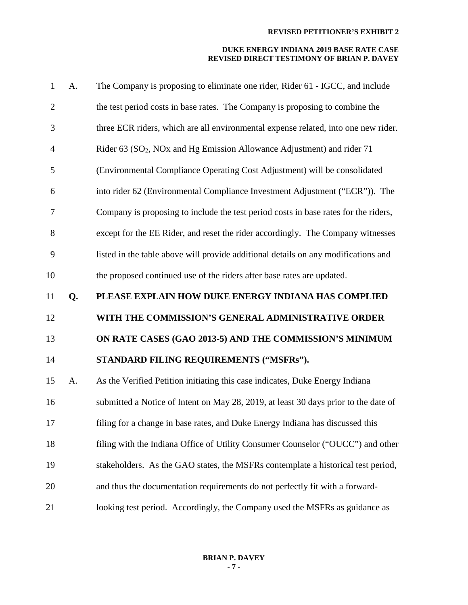| $\mathbf{1}$   | A. | The Company is proposing to eliminate one rider, Rider 61 - IGCC, and include                  |
|----------------|----|------------------------------------------------------------------------------------------------|
| $\overline{2}$ |    | the test period costs in base rates. The Company is proposing to combine the                   |
| 3              |    | three ECR riders, which are all environmental expense related, into one new rider.             |
| $\overline{4}$ |    | Rider 63 (SO <sub>2</sub> , NO <sub>x</sub> and Hg Emission Allowance Adjustment) and rider 71 |
| 5              |    | (Environmental Compliance Operating Cost Adjustment) will be consolidated                      |
| 6              |    | into rider 62 (Environmental Compliance Investment Adjustment ("ECR")). The                    |
| $\overline{7}$ |    | Company is proposing to include the test period costs in base rates for the riders,            |
| 8              |    | except for the EE Rider, and reset the rider accordingly. The Company witnesses                |
| 9              |    | listed in the table above will provide additional details on any modifications and             |
| 10             |    | the proposed continued use of the riders after base rates are updated.                         |
| 11             | Q. | PLEASE EXPLAIN HOW DUKE ENERGY INDIANA HAS COMPLIED                                            |
|                |    |                                                                                                |
| 12             |    | WITH THE COMMISSION'S GENERAL ADMINISTRATIVE ORDER                                             |
| 13             |    | ON RATE CASES (GAO 2013-5) AND THE COMMISSION'S MINIMUM                                        |
| 14             |    | STANDARD FILING REQUIREMENTS ("MSFRs").                                                        |
| 15             | A. | As the Verified Petition initiating this case indicates, Duke Energy Indiana                   |
| 16             |    | submitted a Notice of Intent on May 28, 2019, at least 30 days prior to the date of            |
| 17             |    | filing for a change in base rates, and Duke Energy Indiana has discussed this                  |
| 18             |    | filing with the Indiana Office of Utility Consumer Counselor ("OUCC") and other                |
| 19             |    | stakeholders. As the GAO states, the MSFRs contemplate a historical test period,               |
| 20             |    | and thus the documentation requirements do not perfectly fit with a forward-                   |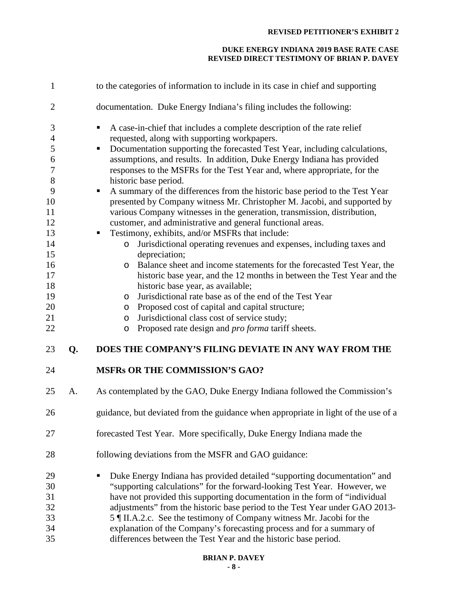| 1                                                                                                                                   |    | to the categories of information to include in its case in chief and supporting                                                                                                                                                                                                                                                                                                                                                                                                                                                                                                                                                                                                                                                                                                                                                                                                                                                                                                                                                                                                                                                                                                                                                                |
|-------------------------------------------------------------------------------------------------------------------------------------|----|------------------------------------------------------------------------------------------------------------------------------------------------------------------------------------------------------------------------------------------------------------------------------------------------------------------------------------------------------------------------------------------------------------------------------------------------------------------------------------------------------------------------------------------------------------------------------------------------------------------------------------------------------------------------------------------------------------------------------------------------------------------------------------------------------------------------------------------------------------------------------------------------------------------------------------------------------------------------------------------------------------------------------------------------------------------------------------------------------------------------------------------------------------------------------------------------------------------------------------------------|
| $\overline{2}$                                                                                                                      |    | documentation. Duke Energy Indiana's filing includes the following:                                                                                                                                                                                                                                                                                                                                                                                                                                                                                                                                                                                                                                                                                                                                                                                                                                                                                                                                                                                                                                                                                                                                                                            |
| 3<br>$\overline{4}$<br>5<br>6<br>$\boldsymbol{7}$<br>8<br>9<br>10<br>11<br>12<br>13<br>14<br>15<br>16<br>17<br>18<br>19<br>20<br>21 |    | A case-in-chief that includes a complete description of the rate relief<br>٠<br>requested, along with supporting workpapers.<br>Documentation supporting the forecasted Test Year, including calculations,<br>п<br>assumptions, and results. In addition, Duke Energy Indiana has provided<br>responses to the MSFRs for the Test Year and, where appropriate, for the<br>historic base period.<br>A summary of the differences from the historic base period to the Test Year<br>presented by Company witness Mr. Christopher M. Jacobi, and supported by<br>various Company witnesses in the generation, transmission, distribution,<br>customer, and administrative and general functional areas.<br>Testimony, exhibits, and/or MSFRs that include:<br>п<br>Jurisdictional operating revenues and expenses, including taxes and<br>$\circ$<br>depreciation;<br>Balance sheet and income statements for the forecasted Test Year, the<br>O<br>historic base year, and the 12 months in between the Test Year and the<br>historic base year, as available;<br>Jurisdictional rate base as of the end of the Test Year<br>O<br>Proposed cost of capital and capital structure;<br>$\circ$<br>Jurisdictional class cost of service study;<br>O |
| 22                                                                                                                                  |    | Proposed rate design and <i>pro forma</i> tariff sheets.<br>$\circ$                                                                                                                                                                                                                                                                                                                                                                                                                                                                                                                                                                                                                                                                                                                                                                                                                                                                                                                                                                                                                                                                                                                                                                            |
| 23                                                                                                                                  | Q. | DOES THE COMPANY'S FILING DEVIATE IN ANY WAY FROM THE                                                                                                                                                                                                                                                                                                                                                                                                                                                                                                                                                                                                                                                                                                                                                                                                                                                                                                                                                                                                                                                                                                                                                                                          |
| 24                                                                                                                                  |    | <b>MSFRs OR THE COMMISSION'S GAO?</b>                                                                                                                                                                                                                                                                                                                                                                                                                                                                                                                                                                                                                                                                                                                                                                                                                                                                                                                                                                                                                                                                                                                                                                                                          |
| 25                                                                                                                                  | A. | As contemplated by the GAO, Duke Energy Indiana followed the Commission's                                                                                                                                                                                                                                                                                                                                                                                                                                                                                                                                                                                                                                                                                                                                                                                                                                                                                                                                                                                                                                                                                                                                                                      |
| 26                                                                                                                                  |    | guidance, but deviated from the guidance when appropriate in light of the use of a                                                                                                                                                                                                                                                                                                                                                                                                                                                                                                                                                                                                                                                                                                                                                                                                                                                                                                                                                                                                                                                                                                                                                             |
| 27                                                                                                                                  |    | forecasted Test Year. More specifically, Duke Energy Indiana made the                                                                                                                                                                                                                                                                                                                                                                                                                                                                                                                                                                                                                                                                                                                                                                                                                                                                                                                                                                                                                                                                                                                                                                          |
| 28                                                                                                                                  |    | following deviations from the MSFR and GAO guidance:                                                                                                                                                                                                                                                                                                                                                                                                                                                                                                                                                                                                                                                                                                                                                                                                                                                                                                                                                                                                                                                                                                                                                                                           |
| 29<br>30<br>31<br>32<br>33<br>34<br>35                                                                                              |    | Duke Energy Indiana has provided detailed "supporting documentation" and<br>"supporting calculations" for the forward-looking Test Year. However, we<br>have not provided this supporting documentation in the form of "individual<br>adjustments" from the historic base period to the Test Year under GAO 2013-<br>5   II.A.2.c. See the testimony of Company witness Mr. Jacobi for the<br>explanation of the Company's forecasting process and for a summary of<br>differences between the Test Year and the historic base period.                                                                                                                                                                                                                                                                                                                                                                                                                                                                                                                                                                                                                                                                                                         |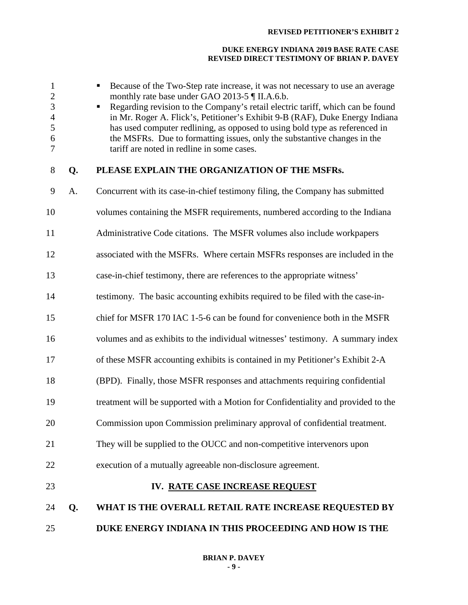| $\mathbf{1}$<br>$\mathbf{2}$<br>3<br>$\overline{4}$<br>5<br>6<br>7 |    | Because of the Two-Step rate increase, it was not necessary to use an average<br>monthly rate base under GAO 2013-5 ¶ II.A.6.b.<br>Regarding revision to the Company's retail electric tariff, which can be found<br>in Mr. Roger A. Flick's, Petitioner's Exhibit 9-B (RAF), Duke Energy Indiana<br>has used computer redlining, as opposed to using bold type as referenced in<br>the MSFRs. Due to formatting issues, only the substantive changes in the<br>tariff are noted in redline in some cases. |
|--------------------------------------------------------------------|----|------------------------------------------------------------------------------------------------------------------------------------------------------------------------------------------------------------------------------------------------------------------------------------------------------------------------------------------------------------------------------------------------------------------------------------------------------------------------------------------------------------|
| $8\,$                                                              | Q. | PLEASE EXPLAIN THE ORGANIZATION OF THE MSFRs.                                                                                                                                                                                                                                                                                                                                                                                                                                                              |
| 9                                                                  | A. | Concurrent with its case-in-chief testimony filing, the Company has submitted                                                                                                                                                                                                                                                                                                                                                                                                                              |
| 10                                                                 |    | volumes containing the MSFR requirements, numbered according to the Indiana                                                                                                                                                                                                                                                                                                                                                                                                                                |
| 11                                                                 |    | Administrative Code citations. The MSFR volumes also include workpapers                                                                                                                                                                                                                                                                                                                                                                                                                                    |
| 12                                                                 |    | associated with the MSFRs. Where certain MSFRs responses are included in the                                                                                                                                                                                                                                                                                                                                                                                                                               |
| 13                                                                 |    | case-in-chief testimony, there are references to the appropriate witness'                                                                                                                                                                                                                                                                                                                                                                                                                                  |
| 14                                                                 |    | testimony. The basic accounting exhibits required to be filed with the case-in-                                                                                                                                                                                                                                                                                                                                                                                                                            |
| 15                                                                 |    | chief for MSFR 170 IAC 1-5-6 can be found for convenience both in the MSFR                                                                                                                                                                                                                                                                                                                                                                                                                                 |
| 16                                                                 |    | volumes and as exhibits to the individual witnesses' testimony. A summary index                                                                                                                                                                                                                                                                                                                                                                                                                            |
| 17                                                                 |    | of these MSFR accounting exhibits is contained in my Petitioner's Exhibit 2-A                                                                                                                                                                                                                                                                                                                                                                                                                              |
| 18                                                                 |    | (BPD). Finally, those MSFR responses and attachments requiring confidential                                                                                                                                                                                                                                                                                                                                                                                                                                |
| 19                                                                 |    | treatment will be supported with a Motion for Confidentiality and provided to the                                                                                                                                                                                                                                                                                                                                                                                                                          |
| 20                                                                 |    | Commission upon Commission preliminary approval of confidential treatment.                                                                                                                                                                                                                                                                                                                                                                                                                                 |
| 21                                                                 |    | They will be supplied to the OUCC and non-competitive intervenors upon                                                                                                                                                                                                                                                                                                                                                                                                                                     |
| 22                                                                 |    | execution of a mutually agreeable non-disclosure agreement.                                                                                                                                                                                                                                                                                                                                                                                                                                                |
| 23                                                                 |    | IV. RATE CASE INCREASE REQUEST                                                                                                                                                                                                                                                                                                                                                                                                                                                                             |
| 24                                                                 | Q. | WHAT IS THE OVERALL RETAIL RATE INCREASE REQUESTED BY                                                                                                                                                                                                                                                                                                                                                                                                                                                      |
| 25                                                                 |    | DUKE ENERGY INDIANA IN THIS PROCEEDING AND HOW IS THE                                                                                                                                                                                                                                                                                                                                                                                                                                                      |
|                                                                    |    |                                                                                                                                                                                                                                                                                                                                                                                                                                                                                                            |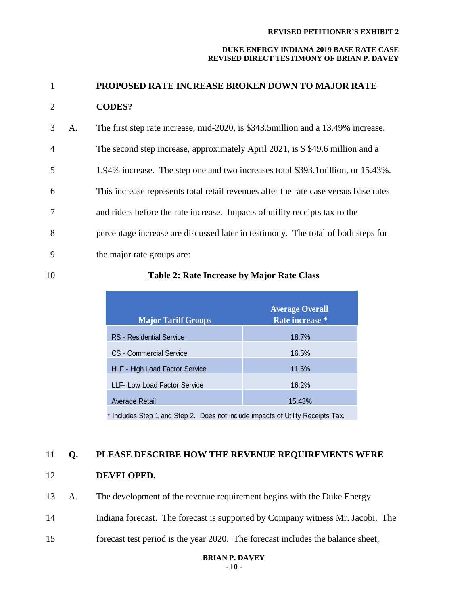#### **DUKE ENERGY INDIANA 2019 BASE RATE CASE REVISED DIRECT TESTIMONY OF BRIAN P. DAVEY**

# 1 **PROPOSED RATE INCREASE BROKEN DOWN TO MAJOR RATE**  2 **CODES?**

- 3 A. The first step rate increase, mid-2020, is \$343.5million and a 13.49% increase.
- 4 The second step increase, approximately April 2021, is \$ \$49.6 million and a
- 5 1.94% increase. The step one and two increases total \$393.1million, or 15.43%.
- 6 This increase represents total retail revenues after the rate case versus base rates
- 7 and riders before the rate increase. Impacts of utility receipts tax to the
- 8 percentage increase are discussed later in testimony. The total of both steps for
- 9 the major rate groups are:

## 10 **Table 2: Rate Increase by Major Rate Class**

| <b>Major Tariff Groups</b>     | <b>Average Overall</b><br>Rate increase * |
|--------------------------------|-------------------------------------------|
| RS - Residential Service       | 18.7%                                     |
| CS - Commercial Service        | 16.5%                                     |
| HLF - High Load Factor Service | 11.6%                                     |
| LLF- Low Load Factor Service   | 16.2%                                     |
| Average Retail                 | 15.43%                                    |

\* Includes Step 1 and Step 2. Does not include impacts of Utility Receipts Tax.

### 11 **Q. PLEASE DESCRIBE HOW THE REVENUE REQUIREMENTS WERE**

- 12 **DEVELOPED.**
- 13 A. The development of the revenue requirement begins with the Duke Energy
- 14 Indiana forecast. The forecast is supported by Company witness Mr. Jacobi. The
- 15 forecast test period is the year 2020. The forecast includes the balance sheet,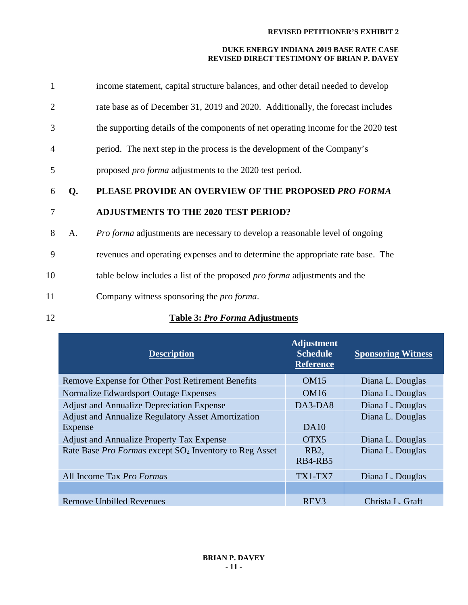#### **DUKE ENERGY INDIANA 2019 BASE RATE CASE REVISED DIRECT TESTIMONY OF BRIAN P. DAVEY**

| 1  |    | income statement, capital structure balances, and other detail needed to develop   |
|----|----|------------------------------------------------------------------------------------|
| 2  |    | rate base as of December 31, 2019 and 2020. Additionally, the forecast includes    |
| 3  |    | the supporting details of the components of net operating income for the 2020 test |
| 4  |    | period. The next step in the process is the development of the Company's           |
| 5  |    | proposed <i>pro forma</i> adjustments to the 2020 test period.                     |
| 6  | Q. | PLEASE PROVIDE AN OVERVIEW OF THE PROPOSED PRO FORMA                               |
|    |    |                                                                                    |
| 7  |    | <b>ADJUSTMENTS TO THE 2020 TEST PERIOD?</b>                                        |
| 8  | A. | Pro forma adjustments are necessary to develop a reasonable level of ongoing       |
| 9  |    | revenues and operating expenses and to determine the appropriate rate base. The    |
| 10 |    | table below includes a list of the proposed <i>pro forma</i> adjustments and the   |
| 11 |    | Company witness sponsoring the <i>pro forma</i> .                                  |

## 12 **Table 3:** *Pro Forma* **Adjustments**

| <b>Description</b>                                                 | <b>Adjustment</b><br><b>Schedule</b><br><b>Reference</b> | <b>Sponsoring Witness</b> |
|--------------------------------------------------------------------|----------------------------------------------------------|---------------------------|
| Remove Expense for Other Post Retirement Benefits                  | <b>OM15</b>                                              | Diana L. Douglas          |
| Normalize Edwardsport Outage Expenses                              | OM <sub>16</sub>                                         | Diana L. Douglas          |
| <b>Adjust and Annualize Depreciation Expense</b>                   | $DA3-DA8$                                                | Diana L. Douglas          |
| <b>Adjust and Annualize Regulatory Asset Amortization</b>          |                                                          | Diana L. Douglas          |
| Expense                                                            | DA10                                                     |                           |
| <b>Adjust and Annualize Property Tax Expense</b>                   | OTX <sub>5</sub>                                         | Diana L. Douglas          |
| Rate Base Pro Formas except SO <sub>2</sub> Inventory to Reg Asset | RB <sub>2</sub>                                          | Diana L. Douglas          |
|                                                                    | RB4-RB5                                                  |                           |
| All Income Tax <i>Pro Formas</i>                                   | TX1-TX7                                                  | Diana L. Douglas          |
|                                                                    |                                                          |                           |
| <b>Remove Unbilled Revenues</b>                                    | REV <sub>3</sub>                                         | Christa L. Graft          |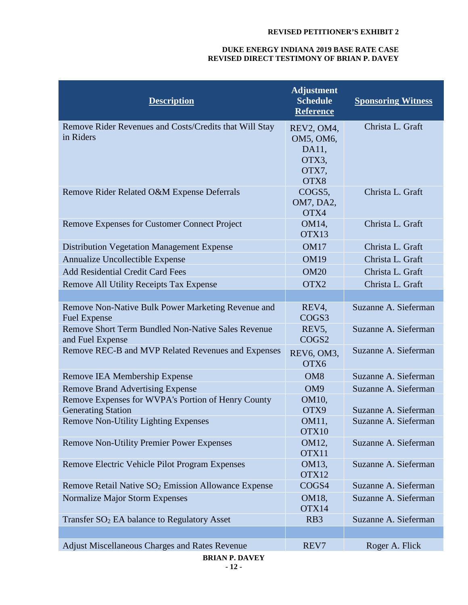| <b>Description</b>                                                              | <b>Adjustment</b><br><b>Schedule</b><br><b>Reference</b>   | <b>Sponsoring Witness</b> |
|---------------------------------------------------------------------------------|------------------------------------------------------------|---------------------------|
| Remove Rider Revenues and Costs/Credits that Will Stay<br>in Riders             | REV2, OM4,<br>OM5, OM6,<br>DA11,<br>OTX3,<br>OTX7,<br>OTX8 | Christa L. Graft          |
| Remove Rider Related O&M Expense Deferrals                                      | COGS5,<br>OM7, DA2,<br>OTX4                                | Christa L. Graft          |
| Remove Expenses for Customer Connect Project                                    | OM14,<br>OTX13                                             | Christa L. Graft          |
| <b>Distribution Vegetation Management Expense</b>                               | OM17                                                       | Christa L. Graft          |
| Annualize Uncollectible Expense                                                 | <b>OM19</b>                                                | Christa L. Graft          |
| <b>Add Residential Credit Card Fees</b>                                         | <b>OM20</b>                                                | Christa L. Graft          |
| <b>Remove All Utility Receipts Tax Expense</b>                                  | OTX2                                                       | Christa L. Graft          |
|                                                                                 |                                                            |                           |
| Remove Non-Native Bulk Power Marketing Revenue and<br><b>Fuel Expense</b>       | REV4,<br>COGS3                                             | Suzanne A. Sieferman      |
| <b>Remove Short Term Bundled Non-Native Sales Revenue</b><br>and Fuel Expense   | REV <sub>5</sub> ,<br>COGS2                                | Suzanne A. Sieferman      |
| Remove REC-B and MVP Related Revenues and Expenses                              | REV6, OM3,<br>OTX6                                         | Suzanne A. Sieferman      |
| Remove IEA Membership Expense                                                   | OM <sub>8</sub>                                            | Suzanne A. Sieferman      |
| <b>Remove Brand Advertising Expense</b>                                         | OM <sub>9</sub>                                            | Suzanne A. Sieferman      |
| Remove Expenses for WVPA's Portion of Henry County<br><b>Generating Station</b> | OM10,<br>OTX9                                              | Suzanne A. Sieferman      |
| <b>Remove Non-Utility Lighting Expenses</b>                                     | <b>OM11</b><br>OTX10                                       | Suzanne A. Sieferman      |
| <b>Remove Non-Utility Premier Power Expenses</b>                                | OM12,<br>OTX11                                             | Suzanne A. Sieferman      |
| Remove Electric Vehicle Pilot Program Expenses                                  | OM13,<br>OTX12                                             | Suzanne A. Sieferman      |
| Remove Retail Native SO <sub>2</sub> Emission Allowance Expense                 | COGS4                                                      | Suzanne A. Sieferman      |
| Normalize Major Storm Expenses                                                  | OM18,<br>OTX14                                             | Suzanne A. Sieferman      |
| Transfer SO <sub>2</sub> EA balance to Regulatory Asset                         | R <sub>B</sub> 3                                           | Suzanne A. Sieferman      |
|                                                                                 |                                                            |                           |
| Adjust Miscellaneous Charges and Rates Revenue<br><b>RDIAND DAVEV</b>           | REV7                                                       | Roger A. Flick            |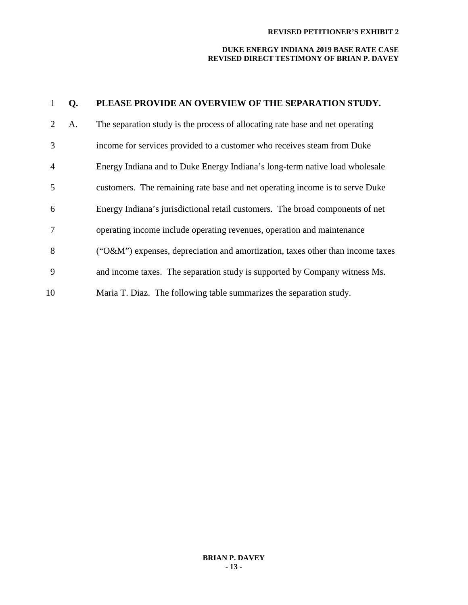| 1              | Q. | PLEASE PROVIDE AN OVERVIEW OF THE SEPARATION STUDY.                            |
|----------------|----|--------------------------------------------------------------------------------|
| 2              | A. | The separation study is the process of allocating rate base and net operating  |
| 3              |    | income for services provided to a customer who receives steam from Duke        |
| $\overline{4}$ |    | Energy Indiana and to Duke Energy Indiana's long-term native load wholesale    |
| 5              |    | customers. The remaining rate base and net operating income is to serve Duke   |
| 6              |    | Energy Indiana's jurisdictional retail customers. The broad components of net  |
| 7              |    | operating income include operating revenues, operation and maintenance         |
| 8              |    | ("O&M") expenses, depreciation and amortization, taxes other than income taxes |
| 9              |    | and income taxes. The separation study is supported by Company witness Ms.     |
| 10             |    | Maria T. Diaz. The following table summarizes the separation study.            |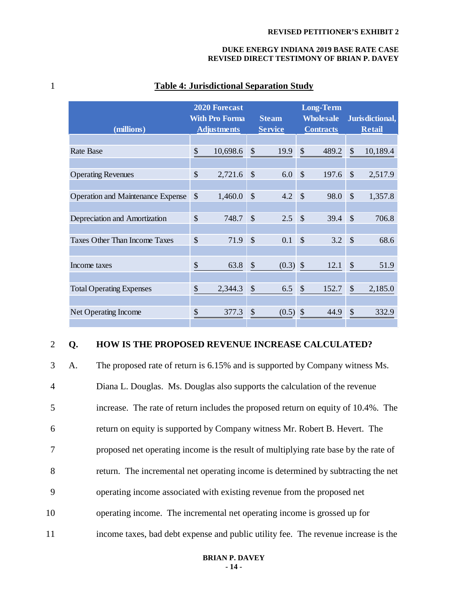#### 1 **Table 4: Jurisdictional Separation Study**

| (millions)                               |               | <b>2020 Forecast</b><br><b>With Pro Forma</b><br><b>Adjustments</b> |               | <b>Steam</b><br><b>Service</b> |                           | <b>Long-Term</b><br><b>Wholesale</b><br><b>Contracts</b> |               | Jurisdictional,<br><b>Retail</b> |
|------------------------------------------|---------------|---------------------------------------------------------------------|---------------|--------------------------------|---------------------------|----------------------------------------------------------|---------------|----------------------------------|
|                                          |               |                                                                     |               |                                |                           |                                                          |               |                                  |
| <b>Rate Base</b>                         | \$            | 10,698.6                                                            | \$            | 19.9                           | \$                        | 489.2                                                    | \$            | 10,189.4                         |
|                                          |               |                                                                     |               |                                |                           |                                                          |               |                                  |
| <b>Operating Revenues</b>                | \$            | 2,721.6                                                             | \$            | 6.0                            | $\mathcal{S}$             | 197.6                                                    | \$            | 2,517.9                          |
|                                          |               |                                                                     |               |                                |                           |                                                          |               |                                  |
| <b>Operation and Maintenance Expense</b> | \$            | 1,460.0                                                             | $\mathcal{S}$ | 4.2                            | \$                        | 98.0                                                     | \$            | 1,357.8                          |
|                                          |               |                                                                     |               |                                |                           |                                                          |               |                                  |
| Depreciation and Amortization            | \$            | 748.7                                                               | $\mathcal{S}$ | 2.5                            | $\mathcal{S}$             | 39.4                                                     | $\mathcal{S}$ | 706.8                            |
|                                          |               |                                                                     |               |                                |                           |                                                          |               |                                  |
| <b>Taxes Other Than Income Taxes</b>     | \$            | 71.9                                                                | $\mathcal{S}$ | 0.1                            | $\mathbb{S}$              | 3.2                                                      | \$            | 68.6                             |
|                                          |               |                                                                     |               |                                |                           |                                                          |               |                                  |
| Income taxes                             | \$            | 63.8                                                                | \$            | (0.3)                          | $\boldsymbol{\mathsf{S}}$ | 12.1                                                     | \$            | 51.9                             |
|                                          |               |                                                                     |               |                                |                           |                                                          |               |                                  |
| <b>Total Operating Expenses</b>          | \$            | 2,344.3                                                             | \$            | 6.5                            | \$                        | 152.7                                                    | \$            | 2,185.0                          |
|                                          |               |                                                                     |               |                                |                           |                                                          |               |                                  |
| Net Operating Income                     | $\mathcal{S}$ | 377.3                                                               | \$            | (0.5)                          | \$                        | 44.9                                                     | \$            | 332.9                            |
|                                          |               |                                                                     |               |                                |                           |                                                          |               |                                  |

### 2 **Q. HOW IS THE PROPOSED REVENUE INCREASE CALCULATED?**

 A. The proposed rate of return is 6.15% and is supported by Company witness Ms. Diana L. Douglas. Ms. Douglas also supports the calculation of the revenue increase. The rate of return includes the proposed return on equity of 10.4%. The return on equity is supported by Company witness Mr. Robert B. Hevert. The proposed net operating income is the result of multiplying rate base by the rate of return. The incremental net operating income is determined by subtracting the net operating income associated with existing revenue from the proposed net operating income. The incremental net operating income is grossed up for income taxes, bad debt expense and public utility fee. The revenue increase is the

#### **BRIAN P. DAVEY - 14 -**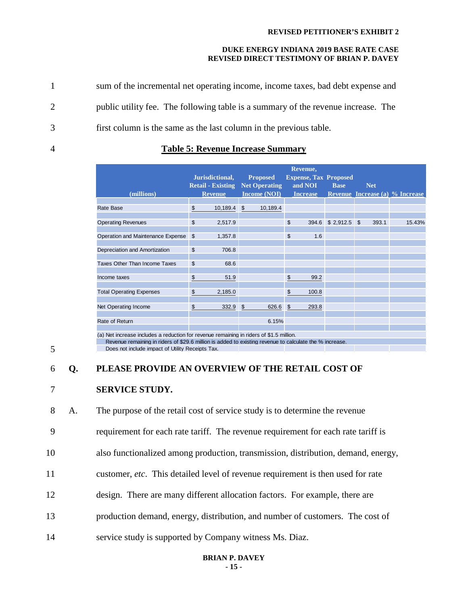1 sum of the incremental net operating income, income taxes, bad debt expense and 2 public utility fee. The following table is a summary of the revenue increase.The 3 first column is the same as the last column in the previous table.

### 4 **Table 5: Revenue Increase Summary**

| (millions)                                                                              |                | Jurisdictional,<br><b>Retail - Existing Net Operating</b><br><b>Revenue</b> |                | <b>Proposed</b><br><b>Income (NOI)</b> | Revenue,<br><b>Expense, Tax Proposed</b><br>and NOI<br><b>Increase</b> | <b>Base</b> | <b>Net</b>   |       | <b>Revenue Increase (a) % Increase</b> |
|-----------------------------------------------------------------------------------------|----------------|-----------------------------------------------------------------------------|----------------|----------------------------------------|------------------------------------------------------------------------|-------------|--------------|-------|----------------------------------------|
|                                                                                         |                |                                                                             |                |                                        |                                                                        |             |              |       |                                        |
| Rate Base                                                                               | \$             | 10,189.4                                                                    | $\mathfrak{L}$ | 10,189.4                               |                                                                        |             |              |       |                                        |
|                                                                                         |                |                                                                             |                |                                        |                                                                        |             |              |       |                                        |
| <b>Operating Revenues</b>                                                               | \$             | 2,517.9                                                                     |                |                                        | \$<br>394.6                                                            | \$2,912.5   | $\mathbb{S}$ | 393.1 | 15.43%                                 |
|                                                                                         |                |                                                                             |                |                                        |                                                                        |             |              |       |                                        |
| Operation and Maintenance Expense                                                       | $\mathfrak{S}$ | 1,357.8                                                                     |                |                                        | \$<br>1.6                                                              |             |              |       |                                        |
|                                                                                         |                |                                                                             |                |                                        |                                                                        |             |              |       |                                        |
| Depreciation and Amortization                                                           | \$             | 706.8                                                                       |                |                                        |                                                                        |             |              |       |                                        |
| Taxes Other Than Income Taxes                                                           | \$             | 68.6                                                                        |                |                                        |                                                                        |             |              |       |                                        |
|                                                                                         |                |                                                                             |                |                                        |                                                                        |             |              |       |                                        |
| Income taxes                                                                            | \$             | 51.9                                                                        |                |                                        | \$<br>99.2                                                             |             |              |       |                                        |
|                                                                                         |                |                                                                             |                |                                        |                                                                        |             |              |       |                                        |
| <b>Total Operating Expenses</b>                                                         | \$             | 2,185.0                                                                     |                |                                        | \$<br>100.8                                                            |             |              |       |                                        |
|                                                                                         |                |                                                                             |                |                                        |                                                                        |             |              |       |                                        |
| Net Operating Income                                                                    | \$             | 332.9                                                                       | $\mathfrak{s}$ | 626.6                                  | \$<br>293.8                                                            |             |              |       |                                        |
|                                                                                         |                |                                                                             |                |                                        |                                                                        |             |              |       |                                        |
| Rate of Return                                                                          |                |                                                                             |                | 6.15%                                  |                                                                        |             |              |       |                                        |
|                                                                                         |                |                                                                             |                |                                        |                                                                        |             |              |       |                                        |
| (a) Net increase includes a reduction for revenue remaining in riders of \$1.5 million. |                |                                                                             |                |                                        |                                                                        |             |              |       |                                        |

 Revenue remaining in riders of \$29.6 million is added to existing revenue to calculate the % increase. Does not include impact of Utility Receipts Tax.

## 5

#### 6 **Q. PLEASE PROVIDE AN OVERVIEW OF THE RETAIL COST OF**

#### 7 **SERVICE STUDY.**

8 A. The purpose of the retail cost of service study is to determine the revenue

9 requirement for each rate tariff. The revenue requirement for each rate tariff is

- 10 also functionalized among production, transmission, distribution, demand, energy,
- 11 customer, *etc*. This detailed level of revenue requirement is then used for rate
- 12 design. There are many different allocation factors. For example, there are
- 13 production demand, energy, distribution, and number of customers. The cost of
- 14 service study is supported by Company witness Ms. Diaz.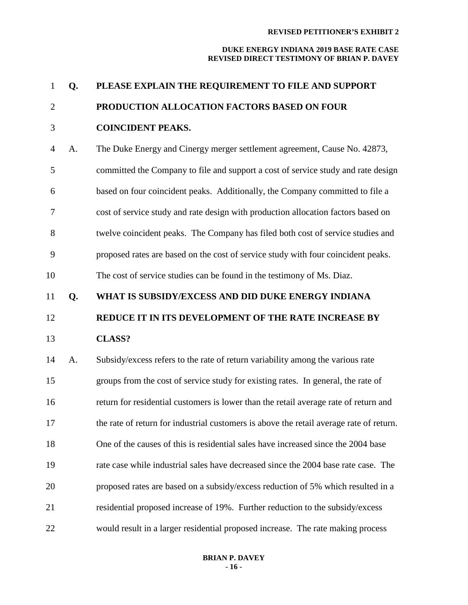| $\mathbf{1}$   | Q. | PLEASE EXPLAIN THE REQUIREMENT TO FILE AND SUPPORT                                      |
|----------------|----|-----------------------------------------------------------------------------------------|
| $\overline{2}$ |    | PRODUCTION ALLOCATION FACTORS BASED ON FOUR                                             |
| 3              |    | <b>COINCIDENT PEAKS.</b>                                                                |
| $\overline{4}$ | A. | The Duke Energy and Cinergy merger settlement agreement, Cause No. 42873,               |
| 5              |    | committed the Company to file and support a cost of service study and rate design       |
| 6              |    | based on four coincident peaks. Additionally, the Company committed to file a           |
| 7              |    | cost of service study and rate design with production allocation factors based on       |
| 8              |    | twelve coincident peaks. The Company has filed both cost of service studies and         |
| 9              |    | proposed rates are based on the cost of service study with four coincident peaks.       |
| 10             |    | The cost of service studies can be found in the testimony of Ms. Diaz.                  |
| 11             | Q. | WHAT IS SUBSIDY/EXCESS AND DID DUKE ENERGY INDIANA                                      |
| 12             |    | REDUCE IT IN ITS DEVELOPMENT OF THE RATE INCREASE BY                                    |
| 13             |    | <b>CLASS?</b>                                                                           |
| 14             | A. | Subsidy/excess refers to the rate of return variability among the various rate          |
| 15             |    | groups from the cost of service study for existing rates. In general, the rate of       |
| 16             |    | return for residential customers is lower than the retail average rate of return and    |
| 17             |    | the rate of return for industrial customers is above the retail average rate of return. |
| 18             |    | One of the causes of this is residential sales have increased since the 2004 base       |
| 19             |    | rate case while industrial sales have decreased since the 2004 base rate case. The      |
| 20             |    | proposed rates are based on a subsidy/excess reduction of 5% which resulted in a        |
| 21             |    | residential proposed increase of 19%. Further reduction to the subsidy/excess           |
| 22             |    | would result in a larger residential proposed increase. The rate making process         |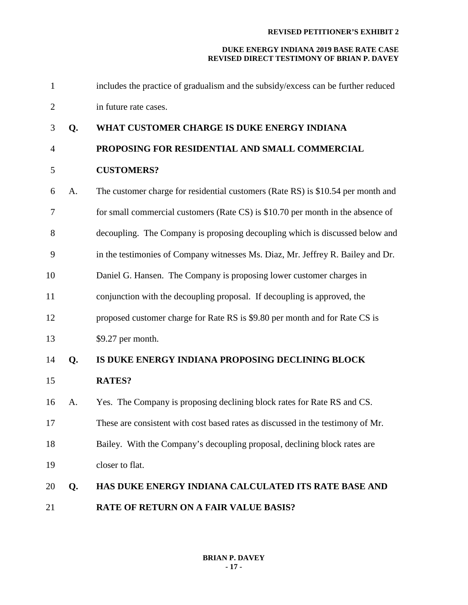| $\mathbf{1}$   |    | includes the practice of gradualism and the subsidy/excess can be further reduced |
|----------------|----|-----------------------------------------------------------------------------------|
| $\overline{2}$ |    | in future rate cases.                                                             |
| 3              | Q. | WHAT CUSTOMER CHARGE IS DUKE ENERGY INDIANA                                       |
| $\overline{4}$ |    | PROPOSING FOR RESIDENTIAL AND SMALL COMMERCIAL                                    |
| 5              |    | <b>CUSTOMERS?</b>                                                                 |
| 6              | A. | The customer charge for residential customers (Rate RS) is \$10.54 per month and  |
| 7              |    | for small commercial customers (Rate CS) is \$10.70 per month in the absence of   |
| 8              |    | decoupling. The Company is proposing decoupling which is discussed below and      |
| 9              |    | in the testimonies of Company witnesses Ms. Diaz, Mr. Jeffrey R. Bailey and Dr.   |
| 10             |    | Daniel G. Hansen. The Company is proposing lower customer charges in              |
| 11             |    | conjunction with the decoupling proposal. If decoupling is approved, the          |
| 12             |    | proposed customer charge for Rate RS is \$9.80 per month and for Rate CS is       |
| 13             |    | \$9.27 per month.                                                                 |
| 14             | Q. | IS DUKE ENERGY INDIANA PROPOSING DECLINING BLOCK                                  |
| 15             |    | <b>RATES?</b>                                                                     |
| 16             | A. | Yes. The Company is proposing declining block rates for Rate RS and CS.           |
| 17             |    | These are consistent with cost based rates as discussed in the testimony of Mr.   |
| 18             |    | Bailey. With the Company's decoupling proposal, declining block rates are         |
| 19             |    | closer to flat.                                                                   |
| 20             | Q. | HAS DUKE ENERGY INDIANA CALCULATED ITS RATE BASE AND                              |
| 21             |    | RATE OF RETURN ON A FAIR VALUE BASIS?                                             |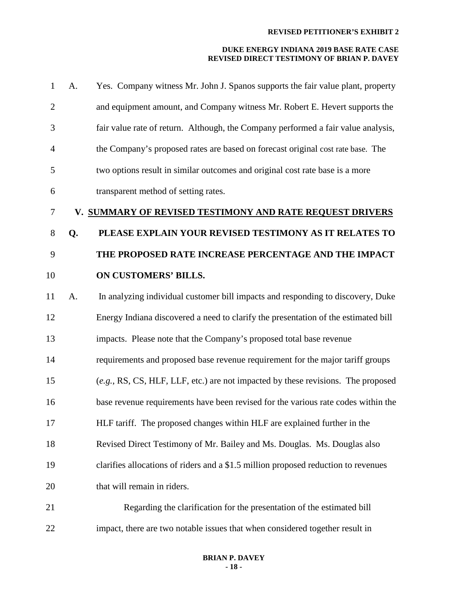| $\mathbf{1}$   | A. | Yes. Company witness Mr. John J. Spanos supports the fair value plant, property    |
|----------------|----|------------------------------------------------------------------------------------|
| $\overline{2}$ |    | and equipment amount, and Company witness Mr. Robert E. Hevert supports the        |
| 3              |    | fair value rate of return. Although, the Company performed a fair value analysis,  |
| $\overline{4}$ |    | the Company's proposed rates are based on forecast original cost rate base. The    |
| 5              |    | two options result in similar outcomes and original cost rate base is a more       |
| 6              |    | transparent method of setting rates.                                               |
| 7              |    | V. SUMMARY OF REVISED TESTIMONY AND RATE REQUEST DRIVERS                           |
| $8\,$          | Q. | PLEASE EXPLAIN YOUR REVISED TESTIMONY AS IT RELATES TO                             |
| 9              |    | THE PROPOSED RATE INCREASE PERCENTAGE AND THE IMPACT                               |
| 10             |    | ON CUSTOMERS' BILLS.                                                               |
| 11             | A. | In analyzing individual customer bill impacts and responding to discovery, Duke    |
| 12             |    | Energy Indiana discovered a need to clarify the presentation of the estimated bill |
| 13             |    | impacts. Please note that the Company's proposed total base revenue                |
| 14             |    | requirements and proposed base revenue requirement for the major tariff groups     |
| 15             |    | $(e.g., RS, CS, HLF, LLF, etc.)$ are not impacted by these revisions. The proposed |
| 16             |    | base revenue requirements have been revised for the various rate codes within the  |
| 17             |    | HLF tariff. The proposed changes within HLF are explained further in the           |
| 18             |    | Revised Direct Testimony of Mr. Bailey and Ms. Douglas. Ms. Douglas also           |
| 19             |    | clarifies allocations of riders and a \$1.5 million proposed reduction to revenues |
| 20             |    | that will remain in riders.                                                        |
| 21             |    | Regarding the clarification for the presentation of the estimated bill             |
| 22             |    | impact, there are two notable issues that when considered together result in       |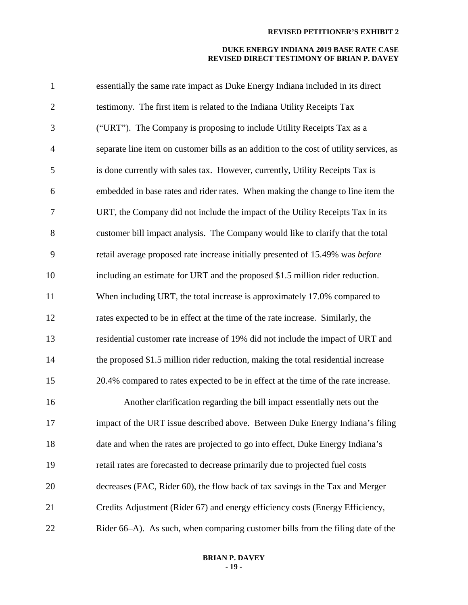| $\mathbf{1}$   | essentially the same rate impact as Duke Energy Indiana included in its direct          |
|----------------|-----------------------------------------------------------------------------------------|
| $\overline{2}$ | testimony. The first item is related to the Indiana Utility Receipts Tax                |
| 3              | ("URT"). The Company is proposing to include Utility Receipts Tax as a                  |
| $\overline{4}$ | separate line item on customer bills as an addition to the cost of utility services, as |
| 5              | is done currently with sales tax. However, currently, Utility Receipts Tax is           |
| 6              | embedded in base rates and rider rates. When making the change to line item the         |
| $\tau$         | URT, the Company did not include the impact of the Utility Receipts Tax in its          |
| 8              | customer bill impact analysis. The Company would like to clarify that the total         |
| 9              | retail average proposed rate increase initially presented of 15.49% was before          |
| 10             | including an estimate for URT and the proposed \$1.5 million rider reduction.           |
| 11             | When including URT, the total increase is approximately 17.0% compared to               |
| 12             | rates expected to be in effect at the time of the rate increase. Similarly, the         |
| 13             | residential customer rate increase of 19% did not include the impact of URT and         |
| 14             | the proposed \$1.5 million rider reduction, making the total residential increase       |
| 15             | 20.4% compared to rates expected to be in effect at the time of the rate increase.      |
| 16             | Another clarification regarding the bill impact essentially nets out the                |
| 17             | impact of the URT issue described above. Between Duke Energy Indiana's filing           |
| 18             | date and when the rates are projected to go into effect, Duke Energy Indiana's          |
| 19             | retail rates are forecasted to decrease primarily due to projected fuel costs           |
| 20             | decreases (FAC, Rider 60), the flow back of tax savings in the Tax and Merger           |
| 21             | Credits Adjustment (Rider 67) and energy efficiency costs (Energy Efficiency,           |
| 22             | Rider 66–A). As such, when comparing customer bills from the filing date of the         |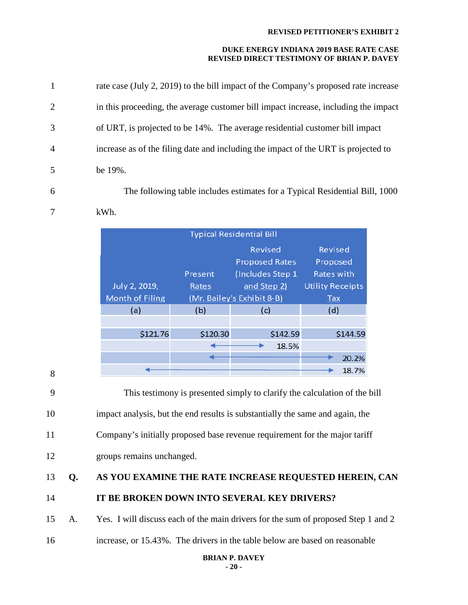#### **DUKE ENERGY INDIANA 2019 BASE RATE CASE REVISED DIRECT TESTIMONY OF BRIAN P. DAVEY**

|                | rate case (July 2, 2019) to the bill impact of the Company's proposed rate increase |
|----------------|-------------------------------------------------------------------------------------|
| 2              | in this proceeding, the average customer bill impact increase, including the impact |
| 3              | of URT, is projected to be 14%. The average residential customer bill impact        |
| $\overline{4}$ | increase as of the filing date and including the impact of the URT is projected to  |
| 5              | be $19\%$ .                                                                         |
|                |                                                                                     |

6 The following table includes estimates for a Typical Residential Bill, 1000

7 kWh.

| <b>Typical Residential Bill</b> |          |                            |                         |  |  |  |  |  |
|---------------------------------|----------|----------------------------|-------------------------|--|--|--|--|--|
|                                 |          | <b>Revised</b>             | Revised                 |  |  |  |  |  |
|                                 |          | <b>Proposed Rates</b>      | Proposed                |  |  |  |  |  |
|                                 | Present  | (Includes Step 1           | Rates with              |  |  |  |  |  |
| July 2, 2019,                   | Rates    | and Step 2)                | <b>Utility Receipts</b> |  |  |  |  |  |
| <b>Month of Filing</b>          |          | (Mr. Bailey's Exhibit 8-B) |                         |  |  |  |  |  |
| (a)                             | (b)      | (c)                        | (d)                     |  |  |  |  |  |
|                                 |          |                            |                         |  |  |  |  |  |
| \$121.76                        | \$120.30 | \$142.59                   | \$144.59                |  |  |  |  |  |
|                                 |          | 18.5%                      |                         |  |  |  |  |  |
|                                 |          |                            | 20.2%                   |  |  |  |  |  |
|                                 |          |                            | 18.7%                   |  |  |  |  |  |

8

9 This testimony is presented simply to clarify the calculation of the bill 10 impact analysis, but the end results is substantially the same and again, the

11 Company's initially proposed base revenue requirement for the major tariff

12 groups remains unchanged.

# 13 **Q. AS YOU EXAMINE THE RATE INCREASE REQUESTED HEREIN, CAN**  14 **IT BE BROKEN DOWN INTO SEVERAL KEY DRIVERS?**

15 A. Yes. I will discuss each of the main drivers for the sum of proposed Step 1 and 2

16 increase, or 15.43%. The drivers in the table below are based on reasonable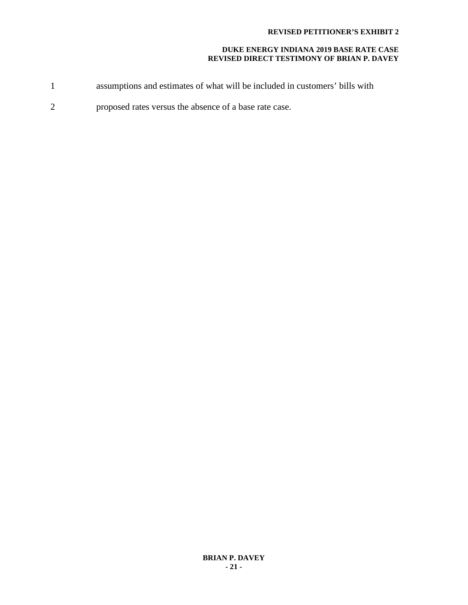- 1 assumptions and estimates of what will be included in customers' bills with
- 2 proposed rates versus the absence of a base rate case.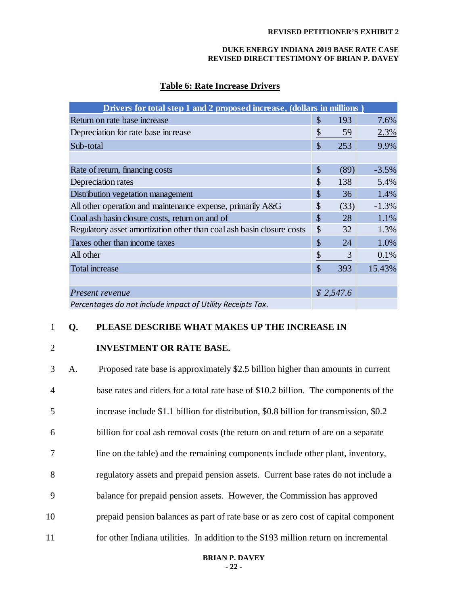#### **DUKE ENERGY INDIANA 2019 BASE RATE CASE REVISED DIRECT TESTIMONY OF BRIAN P. DAVEY**

## **Table 6: Rate Increase Drivers**

| Drivers for total step 1 and 2 proposed increase, (dollars in millions) |               |           |         |
|-------------------------------------------------------------------------|---------------|-----------|---------|
| Return on rate base increase                                            | \$            | 193       | 7.6%    |
| Depreciation for rate base increase                                     | \$            | 59        | 2.3%    |
| Sub-total                                                               | $\mathcal{S}$ | 253       | 9.9%    |
|                                                                         |               |           |         |
| Rate of return, financing costs                                         | \$            | (89)      | $-3.5%$ |
| Depreciation rates                                                      | \$            | 138       | 5.4%    |
| Distribution vegetation management                                      | $\mathcal{S}$ | 36        | 1.4%    |
| All other operation and maintenance expense, primarily A&G              | \$            | (33)      | $-1.3%$ |
| Coal ash basin closure costs, return on and of                          | \$            | 28        | 1.1%    |
| Regulatory asset amortization other than coal ash basin closure costs   | \$            | 32        | 1.3%    |
| Taxes other than income taxes                                           | \$            | 24        | 1.0%    |
| All other                                                               | \$            | 3         | 0.1%    |
| Total increase                                                          | \$            | 393       | 15.43%  |
|                                                                         |               |           |         |
| Present revenue                                                         |               | \$2,547.6 |         |
| Percentages do not include impact of Utility Receipts Tax.              |               |           |         |

## 1 **Q. PLEASE DESCRIBE WHAT MAKES UP THE INCREASE IN**

#### 2 **INVESTMENT OR RATE BASE.**

| 3              | A. | Proposed rate base is approximately \$2.5 billion higher than amounts in current       |
|----------------|----|----------------------------------------------------------------------------------------|
| $\overline{4}$ |    | base rates and riders for a total rate base of \$10.2 billion. The components of the   |
| 5              |    | increase include \$1.1 billion for distribution, \$0.8 billion for transmission, \$0.2 |
| 6              |    | billion for coal ash removal costs (the return on and return of are on a separate      |
| 7              |    | line on the table) and the remaining components include other plant, inventory,        |
| 8              |    | regulatory assets and prepaid pension assets. Current base rates do not include a      |
| 9              |    | balance for prepaid pension assets. However, the Commission has approved               |
| 10             |    | prepaid pension balances as part of rate base or as zero cost of capital component     |
| 11             |    | for other Indiana utilities. In addition to the \$193 million return on incremental    |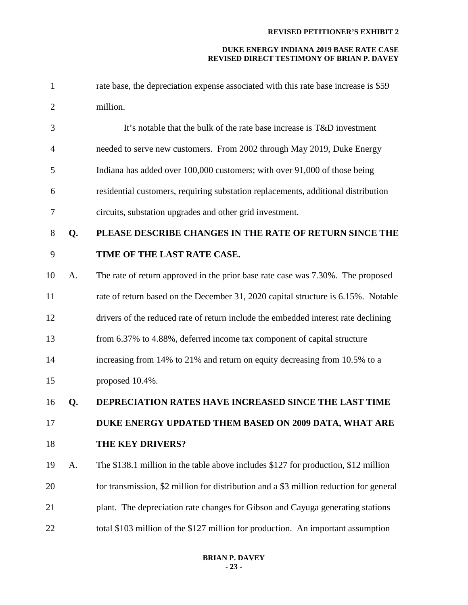| $\mathbf{1}$   |    | rate base, the depreciation expense associated with this rate base increase is \$59    |
|----------------|----|----------------------------------------------------------------------------------------|
| $\overline{2}$ |    | million.                                                                               |
| 3              |    | It's notable that the bulk of the rate base increase is T&D investment                 |
| 4              |    | needed to serve new customers. From 2002 through May 2019, Duke Energy                 |
| 5              |    | Indiana has added over 100,000 customers; with over 91,000 of those being              |
| 6              |    | residential customers, requiring substation replacements, additional distribution      |
| 7              |    | circuits, substation upgrades and other grid investment.                               |
| 8              | Q. | PLEASE DESCRIBE CHANGES IN THE RATE OF RETURN SINCE THE                                |
| 9              |    | TIME OF THE LAST RATE CASE.                                                            |
| 10             | A. | The rate of return approved in the prior base rate case was 7.30%. The proposed        |
| 11             |    | rate of return based on the December 31, 2020 capital structure is 6.15%. Notable      |
| 12             |    | drivers of the reduced rate of return include the embedded interest rate declining     |
| 13             |    | from 6.37% to 4.88%, deferred income tax component of capital structure                |
| 14             |    | increasing from 14% to 21% and return on equity decreasing from 10.5% to a             |
| 15             |    | proposed 10.4%.                                                                        |
| 16             | Q. | DEPRECIATION RATES HAVE INCREASED SINCE THE LAST TIME                                  |
| 17             |    | DUKE ENERGY UPDATED THEM BASED ON 2009 DATA, WHAT ARE                                  |
| 18             |    | THE KEY DRIVERS?                                                                       |
| 19             | A. | The \$138.1 million in the table above includes \$127 for production, \$12 million     |
| 20             |    | for transmission, \$2 million for distribution and a \$3 million reduction for general |
| 21             |    | plant. The depreciation rate changes for Gibson and Cayuga generating stations         |
| 22             |    | total \$103 million of the \$127 million for production. An important assumption       |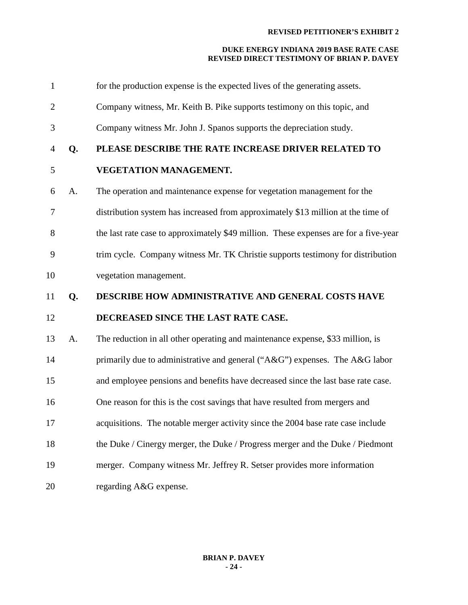| $\mathbf{1}$   |    | for the production expense is the expected lives of the generating assets.           |
|----------------|----|--------------------------------------------------------------------------------------|
| $\overline{c}$ |    | Company witness, Mr. Keith B. Pike supports testimony on this topic, and             |
| 3              |    | Company witness Mr. John J. Spanos supports the depreciation study.                  |
| 4              | Q. | PLEASE DESCRIBE THE RATE INCREASE DRIVER RELATED TO                                  |
| 5              |    | VEGETATION MANAGEMENT.                                                               |
| 6              | A. | The operation and maintenance expense for vegetation management for the              |
| 7              |    | distribution system has increased from approximately \$13 million at the time of     |
| 8              |    | the last rate case to approximately \$49 million. These expenses are for a five-year |
| 9              |    | trim cycle. Company witness Mr. TK Christie supports testimony for distribution      |
| 10             |    | vegetation management.                                                               |
|                |    |                                                                                      |
| 11             | Q. | <b>DESCRIBE HOW ADMINISTRATIVE AND GENERAL COSTS HAVE</b>                            |
| 12             |    | DECREASED SINCE THE LAST RATE CASE.                                                  |
| 13             | A. | The reduction in all other operating and maintenance expense, \$33 million, is       |
| 14             |    | primarily due to administrative and general ("A&G") expenses. The A&G labor          |
| 15             |    | and employee pensions and benefits have decreased since the last base rate case.     |
| 16             |    | One reason for this is the cost savings that have resulted from mergers and          |
| 17             |    | acquisitions. The notable merger activity since the 2004 base rate case include      |
| 18             |    | the Duke / Cinergy merger, the Duke / Progress merger and the Duke / Piedmont        |
| 19             |    | merger. Company witness Mr. Jeffrey R. Setser provides more information              |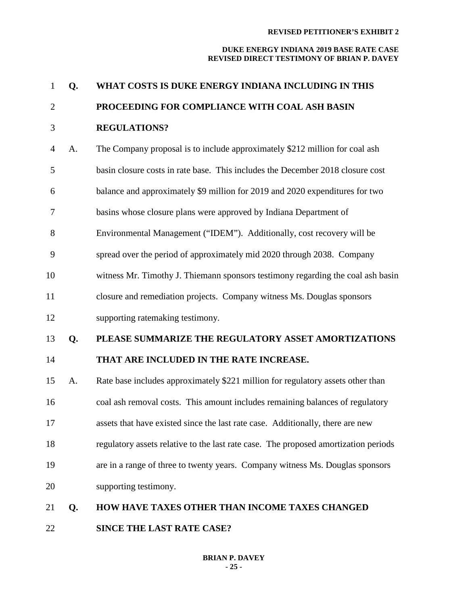#### **DUKE ENERGY INDIANA 2019 BASE RATE CASE REVISED DIRECT TESTIMONY OF BRIAN P. DAVEY**

| $\mathbf{1}$   | Q. | WHAT COSTS IS DUKE ENERGY INDIANA INCLUDING IN THIS                                 |
|----------------|----|-------------------------------------------------------------------------------------|
| $\overline{2}$ |    | PROCEEDING FOR COMPLIANCE WITH COAL ASH BASIN                                       |
| 3              |    | <b>REGULATIONS?</b>                                                                 |
| $\overline{4}$ | A. | The Company proposal is to include approximately \$212 million for coal ash         |
| 5              |    | basin closure costs in rate base. This includes the December 2018 closure cost      |
| 6              |    | balance and approximately \$9 million for 2019 and 2020 expenditures for two        |
| 7              |    | basins whose closure plans were approved by Indiana Department of                   |
| 8              |    | Environmental Management ("IDEM"). Additionally, cost recovery will be              |
| 9              |    | spread over the period of approximately mid 2020 through 2038. Company              |
| 10             |    | witness Mr. Timothy J. Thiemann sponsors testimony regarding the coal ash basin     |
| 11             |    | closure and remediation projects. Company witness Ms. Douglas sponsors              |
| 12             |    | supporting ratemaking testimony.                                                    |
| 13             | Q. | PLEASE SUMMARIZE THE REGULATORY ASSET AMORTIZATIONS                                 |
| 14             |    | THAT ARE INCLUDED IN THE RATE INCREASE.                                             |
| 15             | A. | Rate base includes approximately \$221 million for regulatory assets other than     |
| 16             |    | coal ash removal costs. This amount includes remaining balances of regulatory       |
| 17             |    | assets that have existed since the last rate case. Additionally, there are new      |
| 18             |    | regulatory assets relative to the last rate case. The proposed amortization periods |
| 19             |    | are in a range of three to twenty years. Company witness Ms. Douglas sponsors       |
| 20             |    | supporting testimony.                                                               |
| 21             | Q. | HOW HAVE TAXES OTHER THAN INCOME TAXES CHANGED                                      |
|                |    |                                                                                     |

**SINCE THE LAST RATE CASE?**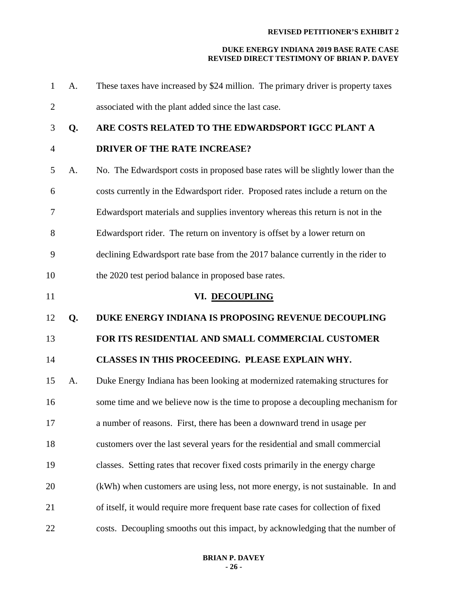| $\mathbf{1}$   | A. | These taxes have increased by \$24 million. The primary driver is property taxes  |
|----------------|----|-----------------------------------------------------------------------------------|
| $\overline{2}$ |    | associated with the plant added since the last case.                              |
| 3              | Q. | ARE COSTS RELATED TO THE EDWARDSPORT IGCC PLANT A                                 |
| $\overline{4}$ |    | <b>DRIVER OF THE RATE INCREASE?</b>                                               |
| 5              | A. | No. The Edwardsport costs in proposed base rates will be slightly lower than the  |
| 6              |    | costs currently in the Edwardsport rider. Proposed rates include a return on the  |
| 7              |    | Edwardsport materials and supplies inventory whereas this return is not in the    |
| 8              |    | Edwardsport rider. The return on inventory is offset by a lower return on         |
| 9              |    | declining Edwardsport rate base from the 2017 balance currently in the rider to   |
| 10             |    | the 2020 test period balance in proposed base rates.                              |
| 11             |    | VI. DECOUPLING                                                                    |
| 12             |    |                                                                                   |
|                | Q. | DUKE ENERGY INDIANA IS PROPOSING REVENUE DECOUPLING                               |
| 13             |    | FOR ITS RESIDENTIAL AND SMALL COMMERCIAL CUSTOMER                                 |
| 14             |    | CLASSES IN THIS PROCEEDING. PLEASE EXPLAIN WHY.                                   |
| 15             | A. | Duke Energy Indiana has been looking at modernized ratemaking structures for      |
| 16             |    | some time and we believe now is the time to propose a decoupling mechanism for    |
| 17             |    | a number of reasons. First, there has been a downward trend in usage per          |
| 18             |    | customers over the last several years for the residential and small commercial    |
| 19             |    | classes. Setting rates that recover fixed costs primarily in the energy charge    |
| 20             |    | (kWh) when customers are using less, not more energy, is not sustainable. In and  |
| 21             |    | of itself, it would require more frequent base rate cases for collection of fixed |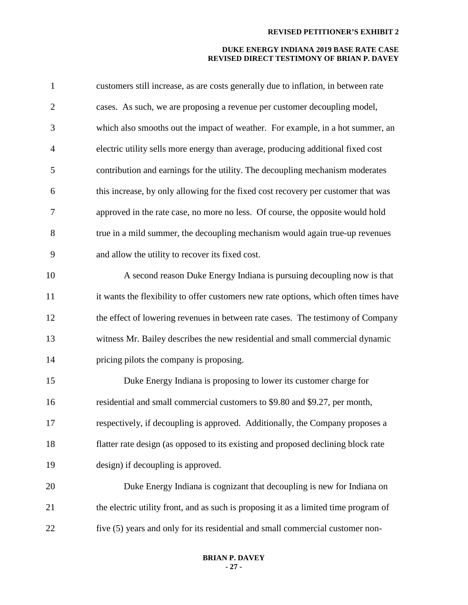| $\mathbf{1}$   | customers still increase, as are costs generally due to inflation, in between rate   |
|----------------|--------------------------------------------------------------------------------------|
| $\overline{2}$ | cases. As such, we are proposing a revenue per customer decoupling model,            |
| 3              | which also smooths out the impact of weather. For example, in a hot summer, an       |
| $\overline{4}$ | electric utility sells more energy than average, producing additional fixed cost     |
| 5              | contribution and earnings for the utility. The decoupling mechanism moderates        |
| 6              | this increase, by only allowing for the fixed cost recovery per customer that was    |
| 7              | approved in the rate case, no more no less. Of course, the opposite would hold       |
| 8              | true in a mild summer, the decoupling mechanism would again true-up revenues         |
| 9              | and allow the utility to recover its fixed cost.                                     |
| 10             | A second reason Duke Energy Indiana is pursuing decoupling now is that               |
| 11             | it wants the flexibility to offer customers new rate options, which often times have |
| 12             | the effect of lowering revenues in between rate cases. The testimony of Company      |
| 13             | witness Mr. Bailey describes the new residential and small commercial dynamic        |
| 14             | pricing pilots the company is proposing.                                             |
| 15             | Duke Energy Indiana is proposing to lower its customer charge for                    |
| 16             | residential and small commercial customers to \$9.80 and \$9.27, per month,          |
| 17             | respectively, if decoupling is approved. Additionally, the Company proposes a        |
| 18             | flatter rate design (as opposed to its existing and proposed declining block rate    |
| 19             | design) if decoupling is approved.                                                   |
| 20             | Duke Energy Indiana is cognizant that decoupling is new for Indiana on               |
| 21             | the electric utility front, and as such is proposing it as a limited time program of |
| 22             | five (5) years and only for its residential and small commercial customer non-       |
|                |                                                                                      |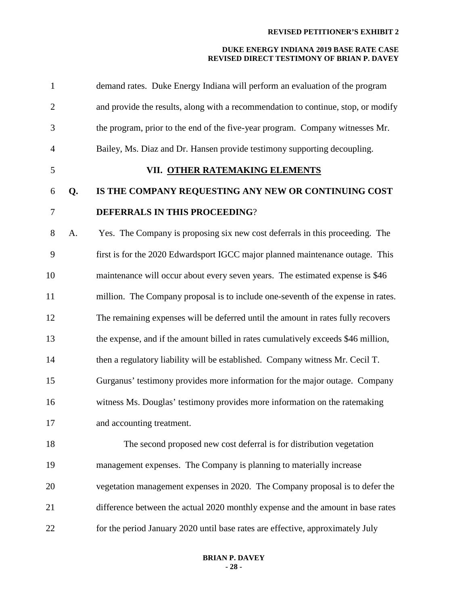| $\mathbf{1}$   |    | demand rates. Duke Energy Indiana will perform an evaluation of the program       |
|----------------|----|-----------------------------------------------------------------------------------|
| $\overline{2}$ |    | and provide the results, along with a recommendation to continue, stop, or modify |
| 3              |    | the program, prior to the end of the five-year program. Company witnesses Mr.     |
| $\overline{4}$ |    | Bailey, Ms. Diaz and Dr. Hansen provide testimony supporting decoupling.          |
| 5              |    | VII. OTHER RATEMAKING ELEMENTS                                                    |
| 6              | Q. | IS THE COMPANY REQUESTING ANY NEW OR CONTINUING COST                              |
| $\overline{7}$ |    | DEFERRALS IN THIS PROCEEDING?                                                     |
| 8              | A. | Yes. The Company is proposing six new cost deferrals in this proceeding. The      |
| 9              |    | first is for the 2020 Edwardsport IGCC major planned maintenance outage. This     |
| 10             |    | maintenance will occur about every seven years. The estimated expense is \$46     |
| 11             |    | million. The Company proposal is to include one-seventh of the expense in rates.  |
| 12             |    | The remaining expenses will be deferred until the amount in rates fully recovers  |
| 13             |    | the expense, and if the amount billed in rates cumulatively exceeds \$46 million, |
| 14             |    | then a regulatory liability will be established. Company witness Mr. Cecil T.     |
| 15             |    | Gurganus' testimony provides more information for the major outage. Company       |
| 16             |    | witness Ms. Douglas' testimony provides more information on the ratemaking        |
| 17             |    | and accounting treatment.                                                         |
| 18             |    | The second proposed new cost deferral is for distribution vegetation              |
| 19             |    | management expenses. The Company is planning to materially increase               |
| 20             |    | vegetation management expenses in 2020. The Company proposal is to defer the      |
| 21             |    | difference between the actual 2020 monthly expense and the amount in base rates   |
| 22             |    | for the period January 2020 until base rates are effective, approximately July    |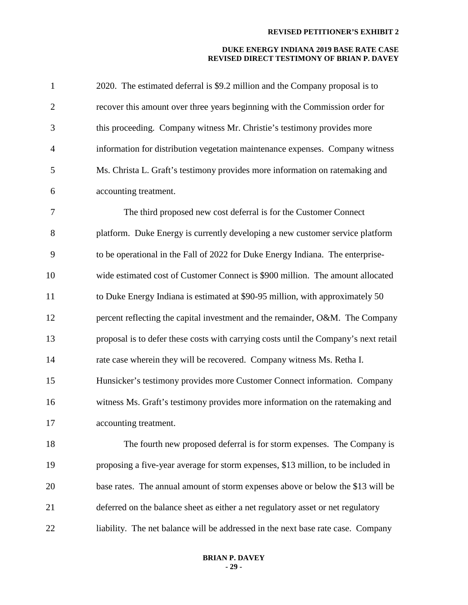| $\mathbf{1}$   | 2020. The estimated deferral is \$9.2 million and the Company proposal is to         |
|----------------|--------------------------------------------------------------------------------------|
| $\overline{2}$ | recover this amount over three years beginning with the Commission order for         |
| 3              | this proceeding. Company witness Mr. Christie's testimony provides more              |
| $\overline{4}$ | information for distribution vegetation maintenance expenses. Company witness        |
| 5              | Ms. Christa L. Graft's testimony provides more information on ratemaking and         |
| 6              | accounting treatment.                                                                |
| $\tau$         | The third proposed new cost deferral is for the Customer Connect                     |
| 8              | platform. Duke Energy is currently developing a new customer service platform        |
| 9              | to be operational in the Fall of 2022 for Duke Energy Indiana. The enterprise-       |
| 10             | wide estimated cost of Customer Connect is \$900 million. The amount allocated       |
| 11             | to Duke Energy Indiana is estimated at \$90-95 million, with approximately 50        |
| 12             | percent reflecting the capital investment and the remainder, O&M. The Company        |
| 13             | proposal is to defer these costs with carrying costs until the Company's next retail |
| 14             | rate case wherein they will be recovered. Company witness Ms. Retha I.               |
| 15             | Hunsicker's testimony provides more Customer Connect information. Company            |
| 16             | witness Ms. Graft's testimony provides more information on the ratemaking and        |
| 17             | accounting treatment.                                                                |
| 18             | The fourth new proposed deferral is for storm expenses. The Company is               |
| 19             | proposing a five-year average for storm expenses, \$13 million, to be included in    |
| 20             | base rates. The annual amount of storm expenses above or below the \$13 will be      |
| 21             | deferred on the balance sheet as either a net regulatory asset or net regulatory     |
| 22             | liability. The net balance will be addressed in the next base rate case. Company     |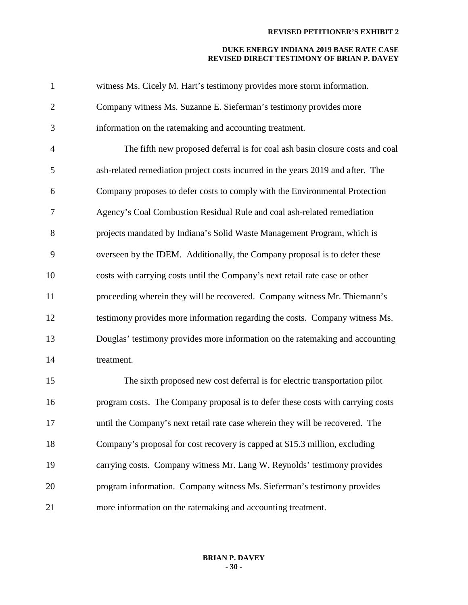| $\mathbf{1}$   | witness Ms. Cicely M. Hart's testimony provides more storm information.         |
|----------------|---------------------------------------------------------------------------------|
| $\overline{2}$ | Company witness Ms. Suzanne E. Sieferman's testimony provides more              |
| 3              | information on the ratemaking and accounting treatment.                         |
| $\overline{4}$ | The fifth new proposed deferral is for coal ash basin closure costs and coal    |
| 5              | ash-related remediation project costs incurred in the years 2019 and after. The |
| 6              | Company proposes to defer costs to comply with the Environmental Protection     |
| 7              | Agency's Coal Combustion Residual Rule and coal ash-related remediation         |
| 8              | projects mandated by Indiana's Solid Waste Management Program, which is         |
| 9              | overseen by the IDEM. Additionally, the Company proposal is to defer these      |
| 10             | costs with carrying costs until the Company's next retail rate case or other    |
| 11             | proceeding wherein they will be recovered. Company witness Mr. Thiemann's       |
| 12             | testimony provides more information regarding the costs. Company witness Ms.    |
| 13             | Douglas' testimony provides more information on the ratemaking and accounting   |
| 14             | treatment.                                                                      |
| 15             | The sixth proposed new cost deferral is for electric transportation pilot       |
| 16             | program costs. The Company proposal is to defer these costs with carrying costs |
| 17             | until the Company's next retail rate case wherein they will be recovered. The   |
| 18             | Company's proposal for cost recovery is capped at \$15.3 million, excluding     |
| 19             | carrying costs. Company witness Mr. Lang W. Reynolds' testimony provides        |
| 20             | program information. Company witness Ms. Sieferman's testimony provides         |
| 21             | more information on the ratemaking and accounting treatment.                    |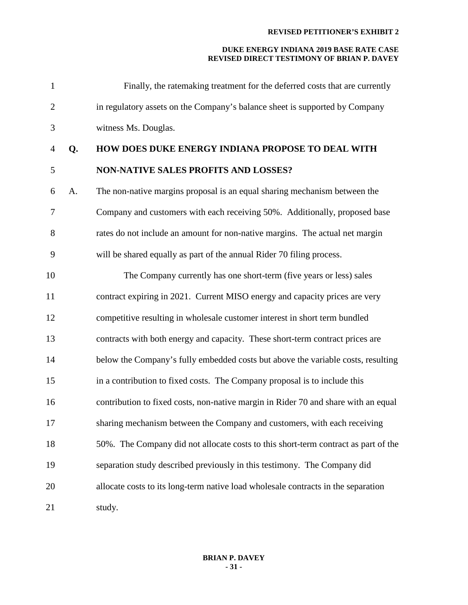| $\mathbf{1}$   |    | Finally, the ratemaking treatment for the deferred costs that are currently        |
|----------------|----|------------------------------------------------------------------------------------|
| $\overline{2}$ |    | in regulatory assets on the Company's balance sheet is supported by Company        |
| 3              |    | witness Ms. Douglas.                                                               |
| $\overline{4}$ | Q. | HOW DOES DUKE ENERGY INDIANA PROPOSE TO DEAL WITH                                  |
| 5              |    | <b>NON-NATIVE SALES PROFITS AND LOSSES?</b>                                        |
| 6              | A. | The non-native margins proposal is an equal sharing mechanism between the          |
| 7              |    | Company and customers with each receiving 50%. Additionally, proposed base         |
| 8              |    | rates do not include an amount for non-native margins. The actual net margin       |
| 9              |    | will be shared equally as part of the annual Rider 70 filing process.              |
| 10             |    | The Company currently has one short-term (five years or less) sales                |
| 11             |    | contract expiring in 2021. Current MISO energy and capacity prices are very        |
| 12             |    | competitive resulting in wholesale customer interest in short term bundled         |
| 13             |    | contracts with both energy and capacity. These short-term contract prices are      |
| 14             |    | below the Company's fully embedded costs but above the variable costs, resulting   |
| 15             |    | in a contribution to fixed costs. The Company proposal is to include this          |
| 16             |    | contribution to fixed costs, non-native margin in Rider 70 and share with an equal |
| 17             |    | sharing mechanism between the Company and customers, with each receiving           |
| 18             |    | 50%. The Company did not allocate costs to this short-term contract as part of the |
| 19             |    | separation study described previously in this testimony. The Company did           |
| 20             |    | allocate costs to its long-term native load wholesale contracts in the separation  |
| 21             |    | study.                                                                             |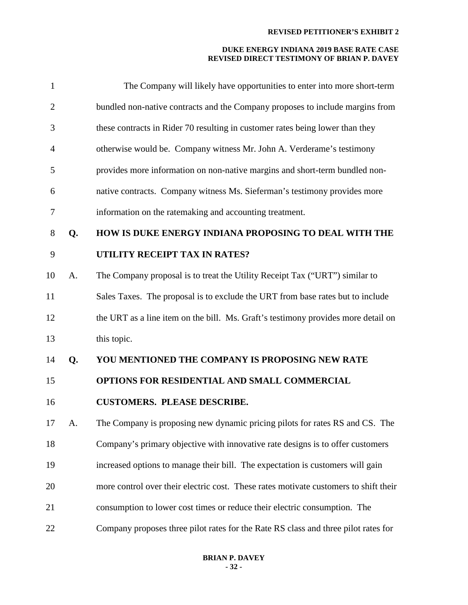| 1              |    | The Company will likely have opportunities to enter into more short-term             |
|----------------|----|--------------------------------------------------------------------------------------|
| $\overline{2}$ |    | bundled non-native contracts and the Company proposes to include margins from        |
| 3              |    | these contracts in Rider 70 resulting in customer rates being lower than they        |
| 4              |    | otherwise would be. Company witness Mr. John A. Verderame's testimony                |
| 5              |    | provides more information on non-native margins and short-term bundled non-          |
| 6              |    | native contracts. Company witness Ms. Sieferman's testimony provides more            |
| 7              |    | information on the ratemaking and accounting treatment.                              |
| 8              | Q. | HOW IS DUKE ENERGY INDIANA PROPOSING TO DEAL WITH THE                                |
| 9              |    | UTILITY RECEIPT TAX IN RATES?                                                        |
| 10             | A. | The Company proposal is to treat the Utility Receipt Tax ("URT") similar to          |
| 11             |    | Sales Taxes. The proposal is to exclude the URT from base rates but to include       |
| 12             |    | the URT as a line item on the bill. Ms. Graft's testimony provides more detail on    |
| 13             |    | this topic.                                                                          |
| 14             | Q. | YOU MENTIONED THE COMPANY IS PROPOSING NEW RATE                                      |
| 15             |    | OPTIONS FOR RESIDENTIAL AND SMALL COMMERCIAL                                         |
| 16             |    | <b>CUSTOMERS. PLEASE DESCRIBE.</b>                                                   |
| 17             | A. | The Company is proposing new dynamic pricing pilots for rates RS and CS. The         |
| 18             |    | Company's primary objective with innovative rate designs is to offer customers       |
| 19             |    | increased options to manage their bill. The expectation is customers will gain       |
| 20             |    | more control over their electric cost. These rates motivate customers to shift their |
| 21             |    | consumption to lower cost times or reduce their electric consumption. The            |
| 22             |    | Company proposes three pilot rates for the Rate RS class and three pilot rates for   |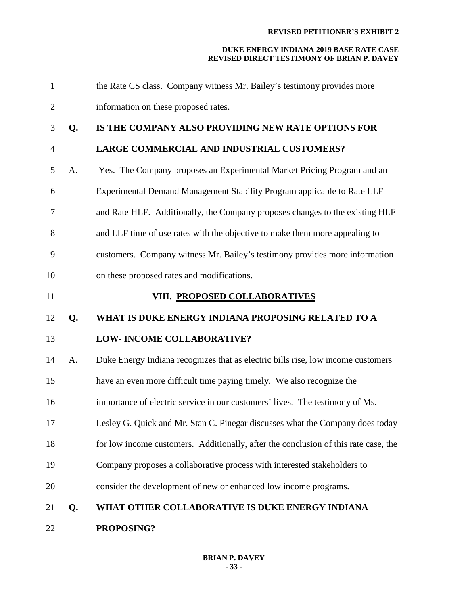| $\mathbf{1}$   |    | the Rate CS class. Company witness Mr. Bailey's testimony provides more             |
|----------------|----|-------------------------------------------------------------------------------------|
| $\overline{2}$ |    | information on these proposed rates.                                                |
| 3              | Q. | IS THE COMPANY ALSO PROVIDING NEW RATE OPTIONS FOR                                  |
| $\overline{4}$ |    | LARGE COMMERCIAL AND INDUSTRIAL CUSTOMERS?                                          |
| 5              | A. | Yes. The Company proposes an Experimental Market Pricing Program and an             |
| 6              |    | Experimental Demand Management Stability Program applicable to Rate LLF             |
| 7              |    | and Rate HLF. Additionally, the Company proposes changes to the existing HLF        |
| 8              |    | and LLF time of use rates with the objective to make them more appealing to         |
| 9              |    | customers. Company witness Mr. Bailey's testimony provides more information         |
| 10             |    | on these proposed rates and modifications.                                          |
| 11             |    | VIII. PROPOSED COLLABORATIVES                                                       |
| 12             | Q. | WHAT IS DUKE ENERGY INDIANA PROPOSING RELATED TO A                                  |
| 13             |    |                                                                                     |
|                |    | LOW- INCOME COLLABORATIVE?                                                          |
| 14             | A. | Duke Energy Indiana recognizes that as electric bills rise, low income customers    |
| 15             |    | have an even more difficult time paying timely. We also recognize the               |
| 16             |    | importance of electric service in our customers' lives. The testimony of Ms.        |
| 17             |    | Lesley G. Quick and Mr. Stan C. Pinegar discusses what the Company does today       |
| 18             |    | for low income customers. Additionally, after the conclusion of this rate case, the |
| 19             |    | Company proposes a collaborative process with interested stakeholders to            |
| 20             |    | consider the development of new or enhanced low income programs.                    |
| 21             | Q. | WHAT OTHER COLLABORATIVE IS DUKE ENERGY INDIANA                                     |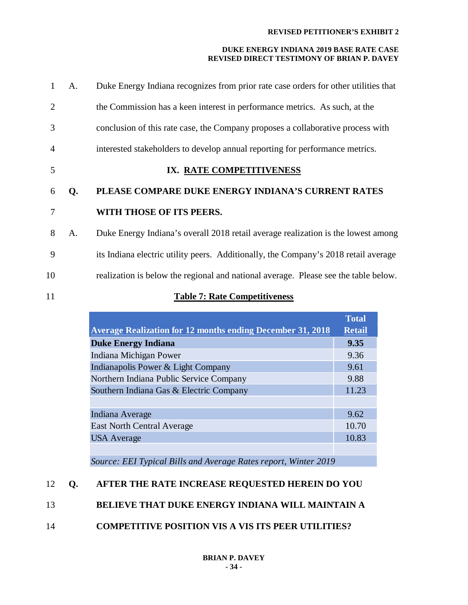#### **DUKE ENERGY INDIANA 2019 BASE RATE CASE REVISED DIRECT TESTIMONY OF BRIAN P. DAVEY**

| $\mathbf{1}$   | A. | Duke Energy Indiana recognizes from prior rate case orders for other utilities that |
|----------------|----|-------------------------------------------------------------------------------------|
| $\overline{2}$ |    | the Commission has a keen interest in performance metrics. As such, at the          |
| 3              |    | conclusion of this rate case, the Company proposes a collaborative process with     |
| $\overline{4}$ |    | interested stakeholders to develop annual reporting for performance metrics.        |
| 5              |    | IX. RATE COMPETITIVENESS                                                            |
| 6              | Q. | PLEASE COMPARE DUKE ENERGY INDIANA'S CURRENT RATES                                  |
| 7              |    | WITH THOSE OF ITS PEERS.                                                            |
| 8              | A. | Duke Energy Indiana's overall 2018 retail average realization is the lowest among   |
| 9              |    | its Indiana electric utility peers. Additionally, the Company's 2018 retail average |
| 10             |    | realization is below the regional and national average. Please see the table below. |
| 11             |    | <b>Table 7: Rate Competitiveness</b>                                                |

|                                                                   | <b>Total</b>  |  |
|-------------------------------------------------------------------|---------------|--|
| <b>Average Realization for 12 months ending December 31, 2018</b> | <b>Retail</b> |  |
| <b>Duke Energy Indiana</b>                                        | 9.35          |  |
| Indiana Michigan Power                                            | 9.36          |  |
| Indianapolis Power & Light Company                                | 9.61          |  |
| Northern Indiana Public Service Company                           | 9.88          |  |
| Southern Indiana Gas & Electric Company                           |               |  |
|                                                                   |               |  |
| Indiana Average                                                   | 9.62          |  |
| <b>East North Central Average</b>                                 | 10.70         |  |
| <b>USA</b> Average                                                | 10.83         |  |
|                                                                   |               |  |
| Source: EEI Typical Bills and Average Rates report, Winter 2019   |               |  |

*Source: EEI Typical Bills and Average Rates report, Winter 2019*

## 12 **Q. AFTER THE RATE INCREASE REQUESTED HEREIN DO YOU**

## 13 **BELIEVE THAT DUKE ENERGY INDIANA WILL MAINTAIN A**

## 14 **COMPETITIVE POSITION VIS A VIS ITS PEER UTILITIES?**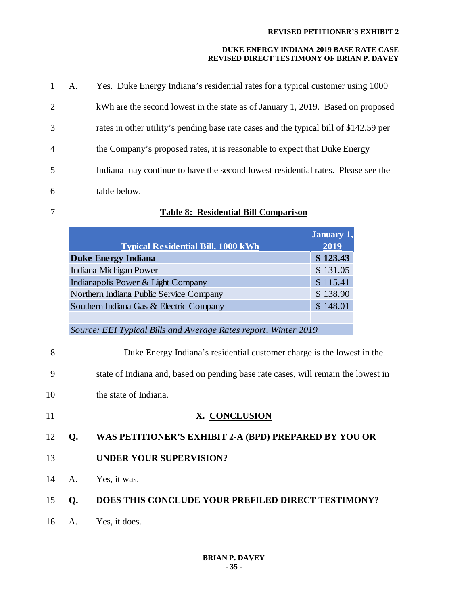| $\mathbf{1}$   | A. | Yes. Duke Energy Indiana's residential rates for a typical customer using 1000        |
|----------------|----|---------------------------------------------------------------------------------------|
| 2              |    | kWh are the second lowest in the state as of January 1, 2019. Based on proposed       |
| 3              |    | rates in other utility's pending base rate cases and the typical bill of \$142.59 per |
| $\overline{4}$ |    | the Company's proposed rates, it is reasonable to expect that Duke Energy             |
| 5              |    | Indiana may continue to have the second lowest residential rates. Please see the      |
| 6              |    | table below.                                                                          |

## 7 **Table 8: Residential Bill Comparison**

|                                                                                                                                                             | <b>January 1,</b> |  |
|-------------------------------------------------------------------------------------------------------------------------------------------------------------|-------------------|--|
| <b>Typical Residential Bill, 1000 kWh</b>                                                                                                                   | 2019              |  |
| <b>Duke Energy Indiana</b>                                                                                                                                  | \$123.43          |  |
| Indiana Michigan Power                                                                                                                                      | \$131.05          |  |
| Indianapolis Power & Light Company                                                                                                                          | \$115.41          |  |
| Northern Indiana Public Service Company                                                                                                                     | \$138.90          |  |
| Southern Indiana Gas & Electric Company                                                                                                                     | \$148.01          |  |
|                                                                                                                                                             |                   |  |
| Source: EEI Typical Bills and Average Rates report, Winter 2019                                                                                             |                   |  |
| Duke Energy Indiana's residential customer charge is the lowest in the<br>state of Indiana and, based on pending base rate cases, will remain the lowest in |                   |  |
| 9                                                                                                                                                           |                   |  |
| 10<br>the state of Indiana.                                                                                                                                 |                   |  |
| 11<br>X. CONCLUSION                                                                                                                                         |                   |  |
| WAS PETITIONER'S EXHIBIT 2-A (BPD) PREPARED BY YOU OR<br>12<br>Q.                                                                                           |                   |  |
| <b>UNDER YOUR SUPERVISION?</b><br>13                                                                                                                        |                   |  |

- 14 A. Yes, it was.
- 15 **Q. DOES THIS CONCLUDE YOUR PREFILED DIRECT TESTIMONY?**
- 16 A. Yes, it does.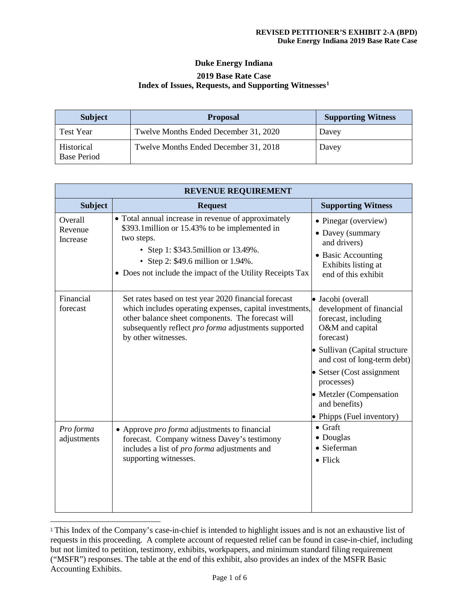## **Duke Energy Indiana 2019 Base Rate Case Index of Issues, Requests, and Supporting Witnesses[1](#page-35-0)**

| <b>Subject</b>                   | <b>Proposal</b>                       | <b>Supporting Witness</b> |
|----------------------------------|---------------------------------------|---------------------------|
| <b>Test Year</b>                 | Twelve Months Ended December 31, 2020 | Davey                     |
| Historical<br><b>Base Period</b> | Twelve Months Ended December 31, 2018 | Davey                     |

| <b>REVENUE REQUIREMENT</b>     |                                                                                                                                                                                                                                                                |                                                                                                                                                                                                                                                                                          |  |  |
|--------------------------------|----------------------------------------------------------------------------------------------------------------------------------------------------------------------------------------------------------------------------------------------------------------|------------------------------------------------------------------------------------------------------------------------------------------------------------------------------------------------------------------------------------------------------------------------------------------|--|--|
| <b>Subject</b>                 | <b>Request</b>                                                                                                                                                                                                                                                 | <b>Supporting Witness</b>                                                                                                                                                                                                                                                                |  |  |
| Overall<br>Revenue<br>Increase | • Total annual increase in revenue of approximately<br>\$393.1 million or 15.43% to be implemented in<br>two steps.<br>• Step 1: \$343.5 million or 13.49%.<br>• Step 2: \$49.6 million or 1.94%.<br>• Does not include the impact of the Utility Receipts Tax | • Pinegar (overview)<br>• Davey (summary<br>and drivers)<br>• Basic Accounting<br>Exhibits listing at<br>end of this exhibit                                                                                                                                                             |  |  |
| Financial<br>forecast          | Set rates based on test year 2020 financial forecast<br>which includes operating expenses, capital investments,<br>other balance sheet components. The forecast will<br>subsequently reflect pro forma adjustments supported<br>by other witnesses.            | · Jacobi (overall<br>development of financial<br>forecast, including<br>O&M and capital<br>forecast)<br>• Sullivan (Capital structure<br>and cost of long-term debt)<br>• Setser (Cost assignment<br>processes)<br>• Metzler (Compensation<br>and benefits)<br>• Phipps (Fuel inventory) |  |  |
| Pro forma<br>adjustments       | • Approve <i>pro forma</i> adjustments to financial<br>forecast. Company witness Davey's testimony<br>includes a list of <i>pro forma</i> adjustments and<br>supporting witnesses.                                                                             | $\bullet$ Graft<br>• Douglas<br>· Sieferman<br>$\bullet$ Flick                                                                                                                                                                                                                           |  |  |

<span id="page-35-0"></span> <sup>1</sup> This Index of the Company's case-in-chief is intended to highlight issues and is not an exhaustive list of requests in this proceeding. A complete account of requested relief can be found in case-in-chief, including but not limited to petition, testimony, exhibits, workpapers, and minimum standard filing requirement ("MSFR") responses. The table at the end of this exhibit, also provides an index of the MSFR Basic Accounting Exhibits.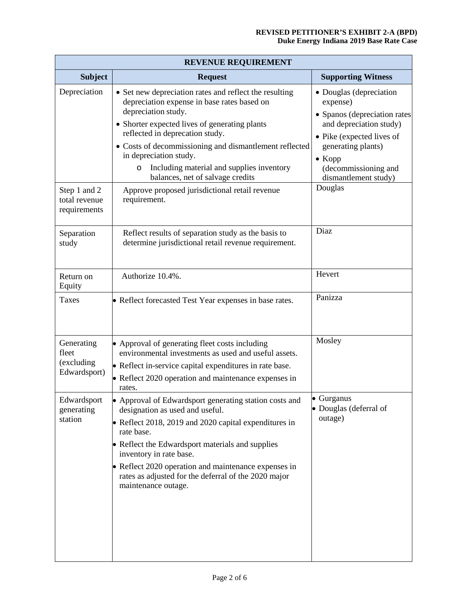| <b>REVENUE REQUIREMENT</b>                        |                                                                                                                                                                                                                                                                                                                                                                                            |                                                                                                                                                                                                                     |  |  |
|---------------------------------------------------|--------------------------------------------------------------------------------------------------------------------------------------------------------------------------------------------------------------------------------------------------------------------------------------------------------------------------------------------------------------------------------------------|---------------------------------------------------------------------------------------------------------------------------------------------------------------------------------------------------------------------|--|--|
| <b>Subject</b>                                    | <b>Request</b>                                                                                                                                                                                                                                                                                                                                                                             | <b>Supporting Witness</b>                                                                                                                                                                                           |  |  |
| Depreciation                                      | • Set new depreciation rates and reflect the resulting<br>depreciation expense in base rates based on<br>depreciation study.<br>• Shorter expected lives of generating plants<br>reflected in deprecation study.<br>• Costs of decommissioning and dismantlement reflected<br>in depreciation study.<br>Including material and supplies inventory<br>O<br>balances, net of salvage credits | • Douglas (depreciation<br>expense)<br>• Spanos (depreciation rates<br>and depreciation study)<br>• Pike (expected lives of<br>generating plants)<br>$\bullet$ Kopp<br>(decommissioning and<br>dismantlement study) |  |  |
| Step 1 and 2<br>total revenue<br>requirements     | Approve proposed jurisdictional retail revenue<br>requirement.                                                                                                                                                                                                                                                                                                                             | Douglas                                                                                                                                                                                                             |  |  |
| Separation<br>study                               | Reflect results of separation study as the basis to<br>determine jurisdictional retail revenue requirement.                                                                                                                                                                                                                                                                                | Diaz                                                                                                                                                                                                                |  |  |
| Return on<br>Equity                               | Authorize 10.4%.                                                                                                                                                                                                                                                                                                                                                                           | Hevert                                                                                                                                                                                                              |  |  |
| Taxes                                             | • Reflect forecasted Test Year expenses in base rates.                                                                                                                                                                                                                                                                                                                                     | Panizza                                                                                                                                                                                                             |  |  |
| Generating<br>fleet<br>(excluding<br>Edwardsport) | • Approval of generating fleet costs including<br>environmental investments as used and useful assets.<br>• Reflect in-service capital expenditures in rate base.<br>• Reflect 2020 operation and maintenance expenses in<br>rates.                                                                                                                                                        | Mosley                                                                                                                                                                                                              |  |  |
| Edwardsport<br>generating<br>station              | • Approval of Edwardsport generating station costs and<br>designation as used and useful.<br>• Reflect 2018, 2019 and 2020 capital expenditures in<br>rate base.<br>• Reflect the Edwardsport materials and supplies<br>inventory in rate base.<br>• Reflect 2020 operation and maintenance expenses in<br>rates as adjusted for the deferral of the 2020 major<br>maintenance outage.     | · Gurganus<br>• Douglas (deferral of<br>outage)                                                                                                                                                                     |  |  |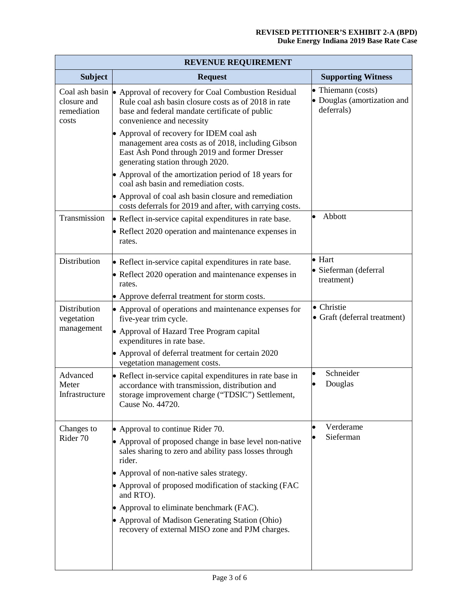| <b>REVENUE REQUIREMENT</b>               |                                                                                                                                                                                                                                                                                                                                                                                                                                  |                                                                 |  |  |
|------------------------------------------|----------------------------------------------------------------------------------------------------------------------------------------------------------------------------------------------------------------------------------------------------------------------------------------------------------------------------------------------------------------------------------------------------------------------------------|-----------------------------------------------------------------|--|--|
| <b>Subject</b>                           | <b>Request</b>                                                                                                                                                                                                                                                                                                                                                                                                                   | <b>Supporting Witness</b>                                       |  |  |
| closure and<br>remediation<br>costs      | Coal ash basin • Approval of recovery for Coal Combustion Residual<br>Rule coal ash basin closure costs as of 2018 in rate<br>base and federal mandate certificate of public<br>convenience and necessity                                                                                                                                                                                                                        | • Thiemann (costs)<br>• Douglas (amortization and<br>deferrals) |  |  |
|                                          | • Approval of recovery for IDEM coal ash<br>management area costs as of 2018, including Gibson<br>East Ash Pond through 2019 and former Dresser<br>generating station through 2020.                                                                                                                                                                                                                                              |                                                                 |  |  |
|                                          | • Approval of the amortization period of 18 years for<br>coal ash basin and remediation costs.                                                                                                                                                                                                                                                                                                                                   |                                                                 |  |  |
|                                          | • Approval of coal ash basin closure and remediation<br>costs deferrals for 2019 and after, with carrying costs.                                                                                                                                                                                                                                                                                                                 |                                                                 |  |  |
| Transmission                             | • Reflect in-service capital expenditures in rate base.<br>• Reflect 2020 operation and maintenance expenses in<br>rates.                                                                                                                                                                                                                                                                                                        | Abbott                                                          |  |  |
| Distribution                             | • Reflect in-service capital expenditures in rate base.<br>• Reflect 2020 operation and maintenance expenses in<br>rates.<br>• Approve deferral treatment for storm costs.                                                                                                                                                                                                                                                       | $\bullet$ Hart<br>· Sieferman (deferral<br>treatment)           |  |  |
| Distribution<br>vegetation<br>management | • Approval of operations and maintenance expenses for<br>five-year trim cycle.<br>• Approval of Hazard Tree Program capital<br>expenditures in rate base.<br>• Approval of deferral treatment for certain 2020                                                                                                                                                                                                                   | • Christie<br>• Graft (deferral treatment)                      |  |  |
| Advanced<br>Meter<br>Infrastructure      | vegetation management costs.<br>• Reflect in-service capital expenditures in rate base in<br>accordance with transmission, distribution and<br>storage improvement charge ("TDSIC") Settlement,<br>Cause No. 44720.                                                                                                                                                                                                              | Schneider<br>Douglas                                            |  |  |
| Changes to<br>Rider 70                   | • Approval to continue Rider 70.<br>• Approval of proposed change in base level non-native<br>sales sharing to zero and ability pass losses through<br>rider.<br>• Approval of non-native sales strategy.<br>• Approval of proposed modification of stacking (FAC<br>and RTO).<br>• Approval to eliminate benchmark (FAC).<br>• Approval of Madison Generating Station (Ohio)<br>recovery of external MISO zone and PJM charges. | Verderame<br>Sieferman                                          |  |  |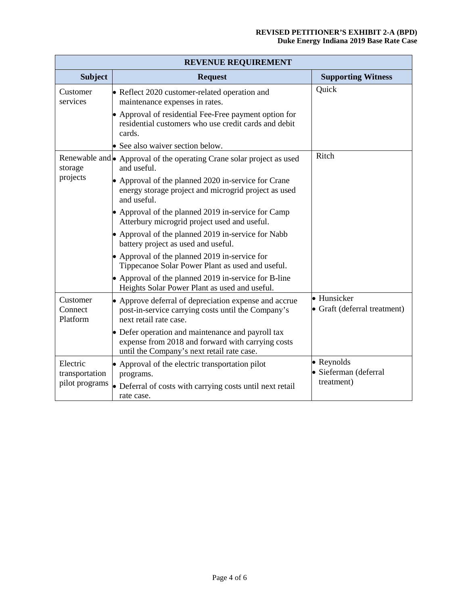| <b>REVENUE REQUIREMENT</b>      |                                                                                                                                                      |                                             |  |  |
|---------------------------------|------------------------------------------------------------------------------------------------------------------------------------------------------|---------------------------------------------|--|--|
| <b>Subject</b>                  | <b>Request</b>                                                                                                                                       | <b>Supporting Witness</b>                   |  |  |
| Customer<br>services            | • Reflect 2020 customer-related operation and<br>maintenance expenses in rates.                                                                      | Quick                                       |  |  |
|                                 | • Approval of residential Fee-Free payment option for<br>residential customers who use credit cards and debit<br>cards.                              |                                             |  |  |
|                                 | • See also waiver section below.                                                                                                                     |                                             |  |  |
| storage                         | Renewable and • Approval of the operating Crane solar project as used<br>and useful.                                                                 | Ritch                                       |  |  |
| projects                        | • Approval of the planned 2020 in-service for Crane<br>energy storage project and microgrid project as used<br>and useful.                           |                                             |  |  |
|                                 | • Approval of the planned 2019 in-service for Camp<br>Atterbury microgrid project used and useful.                                                   |                                             |  |  |
|                                 | • Approval of the planned 2019 in-service for Nabb<br>battery project as used and useful.                                                            |                                             |  |  |
|                                 | • Approval of the planned 2019 in-service for<br>Tippecanoe Solar Power Plant as used and useful.                                                    |                                             |  |  |
|                                 | • Approval of the planned 2019 in-service for B-line<br>Heights Solar Power Plant as used and useful.                                                |                                             |  |  |
| Customer<br>Connect<br>Platform | • Approve deferral of depreciation expense and accrue<br>post-in-service carrying costs until the Company's<br>next retail rate case.                | · Hunsicker<br>• Graft (deferral treatment) |  |  |
|                                 | • Defer operation and maintenance and payroll tax<br>expense from 2018 and forward with carrying costs<br>until the Company's next retail rate case. |                                             |  |  |
| Electric<br>transportation      | • Approval of the electric transportation pilot<br>programs.                                                                                         | • Reynolds<br>· Sieferman (deferral         |  |  |
| pilot programs                  | • Deferral of costs with carrying costs until next retail<br>rate case.                                                                              | treatment)                                  |  |  |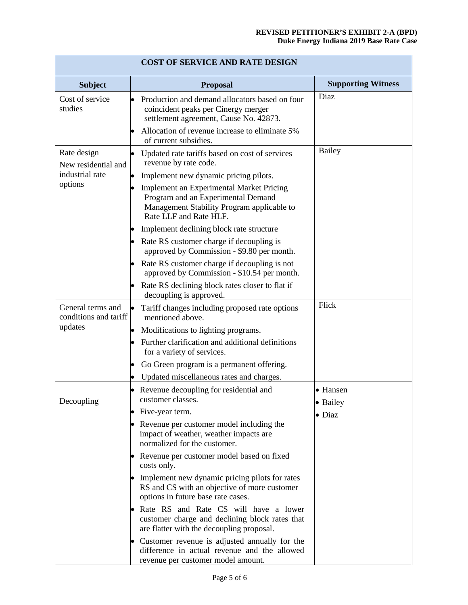| <b>COST OF SERVICE AND RATE DESIGN</b>     |                                                                                                                                                               |                           |  |  |
|--------------------------------------------|---------------------------------------------------------------------------------------------------------------------------------------------------------------|---------------------------|--|--|
| <b>Subject</b>                             | <b>Proposal</b>                                                                                                                                               | <b>Supporting Witness</b> |  |  |
| Cost of service<br>studies                 | Production and demand allocators based on four<br>coincident peaks per Cinergy merger<br>settlement agreement, Cause No. 42873.                               | Diaz                      |  |  |
|                                            | Allocation of revenue increase to eliminate 5%<br>of current subsidies.                                                                                       |                           |  |  |
| Rate design<br>New residential and         | Updated rate tariffs based on cost of services<br>revenue by rate code.                                                                                       | Bailey                    |  |  |
| industrial rate                            | Implement new dynamic pricing pilots.                                                                                                                         |                           |  |  |
| options                                    | <b>Implement an Experimental Market Pricing</b><br>Program and an Experimental Demand<br>Management Stability Program applicable to<br>Rate LLF and Rate HLF. |                           |  |  |
|                                            | Implement declining block rate structure                                                                                                                      |                           |  |  |
|                                            | Rate RS customer charge if decoupling is<br>approved by Commission - \$9.80 per month.                                                                        |                           |  |  |
|                                            | Rate RS customer charge if decoupling is not<br>approved by Commission - \$10.54 per month.                                                                   |                           |  |  |
|                                            | Rate RS declining block rates closer to flat if<br>decoupling is approved.                                                                                    |                           |  |  |
| General terms and<br>conditions and tariff | Tariff changes including proposed rate options<br>mentioned above.                                                                                            | Flick                     |  |  |
| updates                                    | Modifications to lighting programs.                                                                                                                           |                           |  |  |
|                                            | Further clarification and additional definitions<br>for a variety of services.                                                                                |                           |  |  |
|                                            | Go Green program is a permanent offering.                                                                                                                     |                           |  |  |
|                                            | Updated miscellaneous rates and charges.                                                                                                                      |                           |  |  |
| Decoupling                                 | • Revenue decoupling for residential and<br>customer classes.                                                                                                 | • Hansen<br>• Bailey      |  |  |
|                                            | Five-year term.                                                                                                                                               | $\bullet$ Diaz            |  |  |
|                                            | Revenue per customer model including the<br>impact of weather, weather impacts are<br>normalized for the customer.                                            |                           |  |  |
|                                            | Revenue per customer model based on fixed<br>costs only.                                                                                                      |                           |  |  |
|                                            | Implement new dynamic pricing pilots for rates<br>RS and CS with an objective of more customer<br>options in future base rate cases.                          |                           |  |  |
|                                            | Rate RS and Rate CS will have a lower<br>customer charge and declining block rates that<br>are flatter with the decoupling proposal.                          |                           |  |  |
|                                            | Customer revenue is adjusted annually for the<br>difference in actual revenue and the allowed<br>revenue per customer model amount.                           |                           |  |  |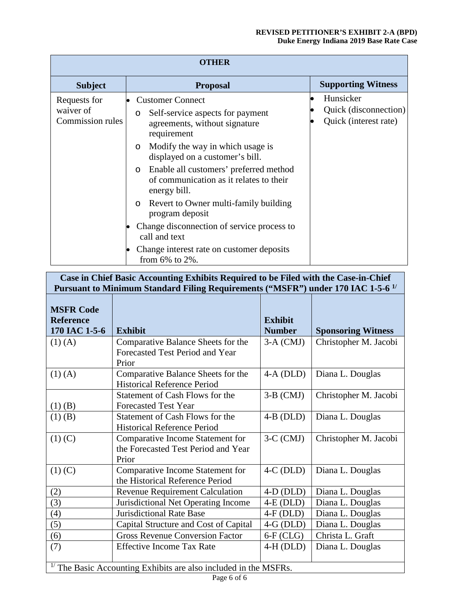| <b>OTHER</b>                                  |                                                                                                                                                                                                                                                                                                                                                                                                                                                                                                                                      |                                                             |  |  |
|-----------------------------------------------|--------------------------------------------------------------------------------------------------------------------------------------------------------------------------------------------------------------------------------------------------------------------------------------------------------------------------------------------------------------------------------------------------------------------------------------------------------------------------------------------------------------------------------------|-------------------------------------------------------------|--|--|
| <b>Subject</b>                                | <b>Proposal</b>                                                                                                                                                                                                                                                                                                                                                                                                                                                                                                                      | <b>Supporting Witness</b>                                   |  |  |
| Requests for<br>waiver of<br>Commission rules | <b>Customer Connect</b><br>Self-service aspects for payment<br>$\circ$<br>agreements, without signature<br>requirement<br>Modify the way in which usage is<br>$\circ$<br>displayed on a customer's bill.<br>Enable all customers' preferred method<br>$\circ$<br>of communication as it relates to their<br>energy bill.<br>Revert to Owner multi-family building<br>$\circ$<br>program deposit<br>Change disconnection of service process to<br>call and text<br>Change interest rate on customer deposits<br>from $6\%$ to $2\%$ . | Hunsicker<br>Quick (disconnection)<br>Quick (interest rate) |  |  |

## **Case in Chief Basic Accounting Exhibits Required to be Filed with the Case-in-Chief Pursuant to Minimum Standard Filing Requirements ("MSFR") under 170 IAC 1-5-6 1/**

| <b>MSFR Code</b>                                                   |                                                                                  |                                 |                           |
|--------------------------------------------------------------------|----------------------------------------------------------------------------------|---------------------------------|---------------------------|
| <b>Reference</b><br>170 IAC 1-5-6                                  | <b>Exhibit</b>                                                                   | <b>Exhibit</b><br><b>Number</b> | <b>Sponsoring Witness</b> |
| $(1)$ (A)                                                          | Comparative Balance Sheets for the<br>Forecasted Test Period and Year<br>Prior   | $3-A (CMJ)$                     | Christopher M. Jacobi     |
| $(1)$ (A)                                                          | Comparative Balance Sheets for the<br><b>Historical Reference Period</b>         | $4-A$ (DLD)                     | Diana L. Douglas          |
| $(1)$ (B)                                                          | Statement of Cash Flows for the<br><b>Forecasted Test Year</b>                   | $3-B$ (CMJ)                     | Christopher M. Jacobi     |
| $(1)$ (B)                                                          | Statement of Cash Flows for the<br><b>Historical Reference Period</b>            | $4-B$ (DLD)                     | Diana L. Douglas          |
| $(1)$ (C)                                                          | Comparative Income Statement for<br>the Forecasted Test Period and Year<br>Prior | $3-C$ (CMJ)                     | Christopher M. Jacobi     |
| $(1)$ (C)                                                          | Comparative Income Statement for<br>the Historical Reference Period              | $4-C$ (DLD)                     | Diana L. Douglas          |
| (2)                                                                | <b>Revenue Requirement Calculation</b>                                           | $4-D$ (DLD)                     | Diana L. Douglas          |
| (3)                                                                | Jurisdictional Net Operating Income                                              | $4-E$ (DLD)                     | Diana L. Douglas          |
| (4)                                                                | <b>Jurisdictional Rate Base</b>                                                  | $4-F(DLD)$                      | Diana L. Douglas          |
| (5)                                                                | Capital Structure and Cost of Capital                                            | $4-G(DLD)$                      | Diana L. Douglas          |
| (6)                                                                | <b>Gross Revenue Conversion Factor</b>                                           | $6-F$ (CLG)                     | Christa L. Graft          |
| (7)                                                                | <b>Effective Income Tax Rate</b>                                                 | $4-H (DLD)$                     | Diana L. Douglas          |
| $17$ The Basic Accounting Exhibits are also included in the MSFRs. |                                                                                  |                                 |                           |